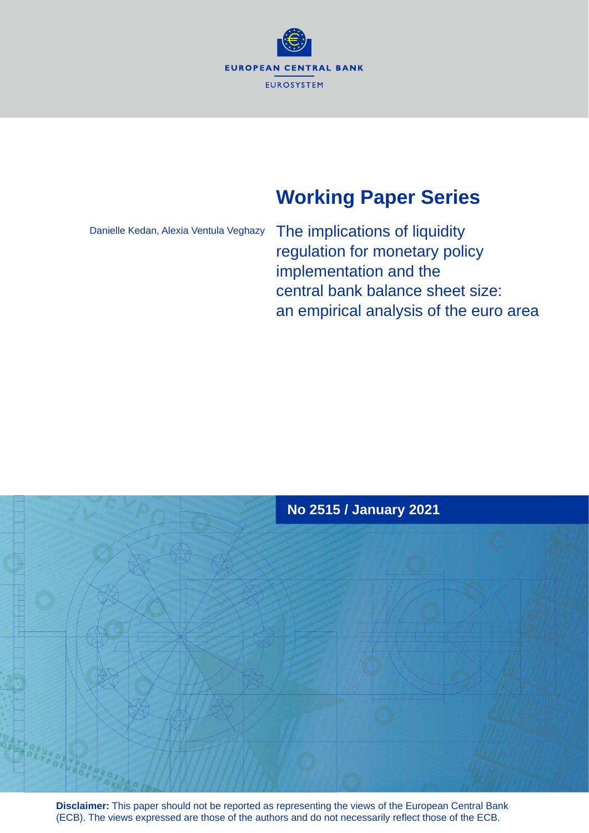

# **Working Paper Series**

Danielle Kedan, Alexia Ventula Veghazy

The implications of liquidity regulation for monetary policy implementation and the central bank balance sheet size: an empirical analysis of the euro area



**Disclaimer:** This paper should not be reported as representing the views of the European Central Bank (ECB). The views expressed are those of the authors and do not necessarily reflect those of the ECB.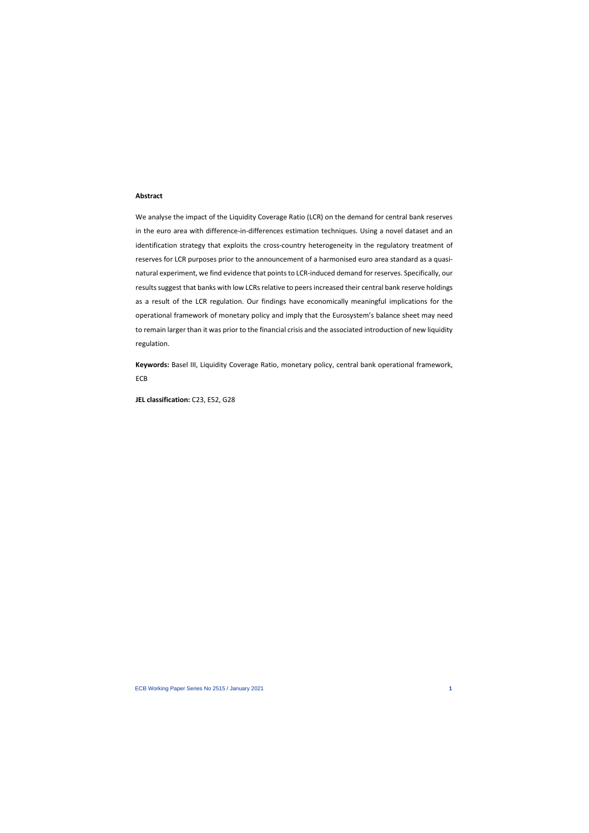## **Abstract**

We analyse the impact of the Liquidity Coverage Ratio (LCR) on the demand for central bank reserves in the euro area with difference-in-differences estimation techniques. Using a novel dataset and an identification strategy that exploits the cross-country heterogeneity in the regulatory treatment of reserves for LCR purposes prior to the announcement of a harmonised euro area standard as a quasinatural experiment, we find evidence that points to LCR-induced demand for reserves. Specifically, our results suggest that banks with low LCRs relative to peers increased their central bank reserve holdings as a result of the LCR regulation. Our findings have economically meaningful implications for the operational framework of monetary policy and imply that the Eurosystem's balance sheet may need to remain larger than it was prior to the financial crisis and the associated introduction of new liquidity regulation.

**Keywords:** Basel III, Liquidity Coverage Ratio, monetary policy, central bank operational framework, ECB

**JEL classification:** C23, E52, G28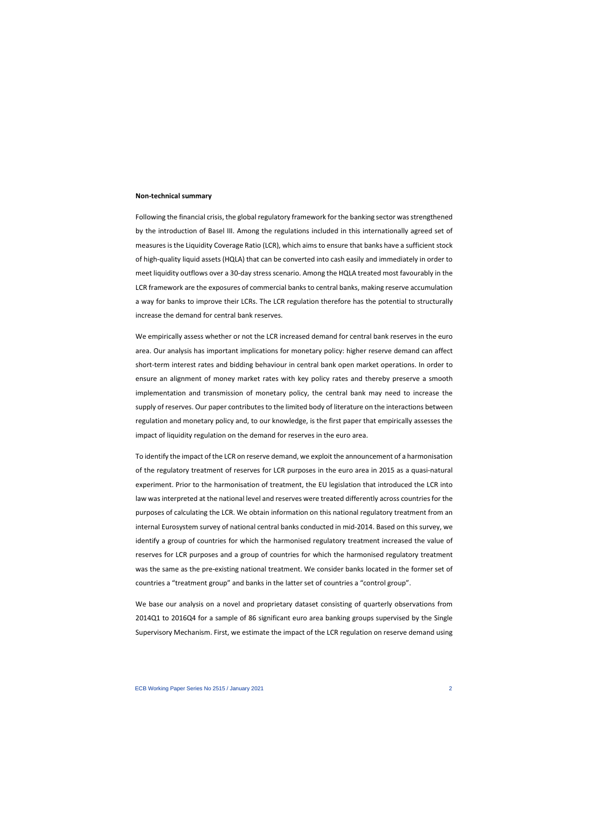#### **Non-technical summary**

Following the financial crisis, the global regulatory framework for the banking sector was strengthened by the introduction of Basel III. Among the regulations included in this internationally agreed set of measures is the Liquidity Coverage Ratio (LCR), which aims to ensure that banks have a sufficient stock of high-quality liquid assets (HQLA) that can be converted into cash easily and immediately in order to meet liquidity outflows over a 30-day stress scenario. Among the HQLA treated most favourably in the LCR framework are the exposures of commercial banks to central banks, making reserve accumulation a way for banks to improve their LCRs. The LCR regulation therefore has the potential to structurally increase the demand for central bank reserves.

We empirically assess whether or not the LCR increased demand for central bank reserves in the euro area. Our analysis has important implications for monetary policy: higher reserve demand can affect short-term interest rates and bidding behaviour in central bank open market operations. In order to ensure an alignment of money market rates with key policy rates and thereby preserve a smooth implementation and transmission of monetary policy, the central bank may need to increase the supply of reserves. Our paper contributes to the limited body of literature on the interactions between regulation and monetary policy and, to our knowledge, is the first paper that empirically assesses the impact of liquidity regulation on the demand for reserves in the euro area.

To identify the impact of the LCR on reserve demand, we exploit the announcement of a harmonisation of the regulatory treatment of reserves for LCR purposes in the euro area in 2015 as a quasi-natural experiment. Prior to the harmonisation of treatment, the EU legislation that introduced the LCR into law was interpreted at the national level and reserves were treated differently across countries for the purposes of calculating the LCR. We obtain information on this national regulatory treatment from an internal Eurosystem survey of national central banks conducted in mid-2014. Based on this survey, we identify a group of countries for which the harmonised regulatory treatment increased the value of reserves for LCR purposes and a group of countries for which the harmonised regulatory treatment was the same as the pre-existing national treatment. We consider banks located in the former set of countries a "treatment group" and banks in the latter set of countries a "control group".

We base our analysis on a novel and proprietary dataset consisting of quarterly observations from 2014Q1 to 2016Q4 for a sample of 86 significant euro area banking groups supervised by the Single Supervisory Mechanism. First, we estimate the impact of the LCR regulation on reserve demand using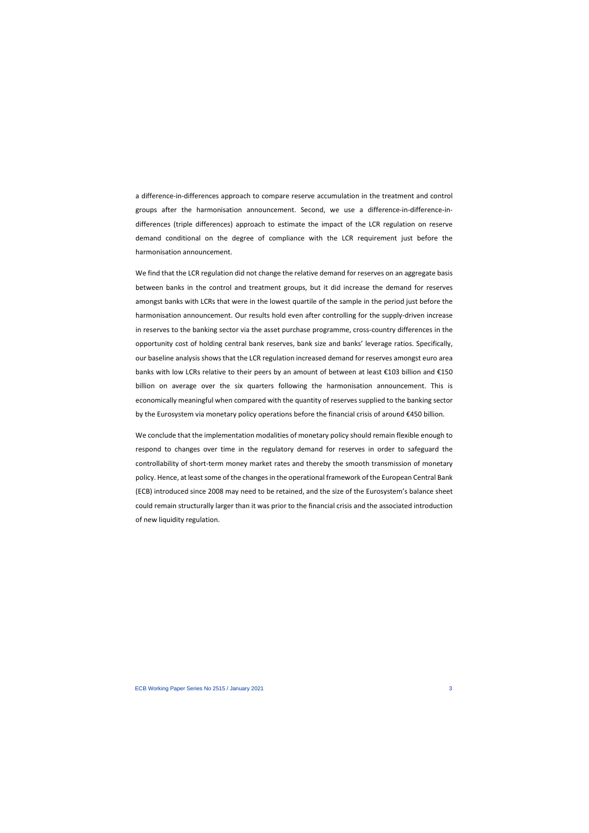a difference-in-differences approach to compare reserve accumulation in the treatment and control groups after the harmonisation announcement. Second, we use a difference-in-difference-indifferences (triple differences) approach to estimate the impact of the LCR regulation on reserve demand conditional on the degree of compliance with the LCR requirement just before the harmonisation announcement.

We find that the LCR regulation did not change the relative demand for reserves on an aggregate basis between banks in the control and treatment groups, but it did increase the demand for reserves amongst banks with LCRs that were in the lowest quartile of the sample in the period just before the harmonisation announcement. Our results hold even after controlling for the supply-driven increase in reserves to the banking sector via the asset purchase programme, cross-country differences in the opportunity cost of holding central bank reserves, bank size and banks' leverage ratios. Specifically, our baseline analysis shows that the LCR regulation increased demand for reserves amongst euro area banks with low LCRs relative to their peers by an amount of between at least €103 billion and €150 billion on average over the six quarters following the harmonisation announcement. This is economically meaningful when compared with the quantity of reserves supplied to the banking sector by the Eurosystem via monetary policy operations before the financial crisis of around €450 billion.

We conclude that the implementation modalities of monetary policy should remain flexible enough to respond to changes over time in the regulatory demand for reserves in order to safeguard the controllability of short-term money market rates and thereby the smooth transmission of monetary policy. Hence, at least some of the changes in the operational framework of the European Central Bank (ECB) introduced since 2008 may need to be retained, and the size of the Eurosystem's balance sheet could remain structurally larger than it was prior to the financial crisis and the associated introduction of new liquidity regulation.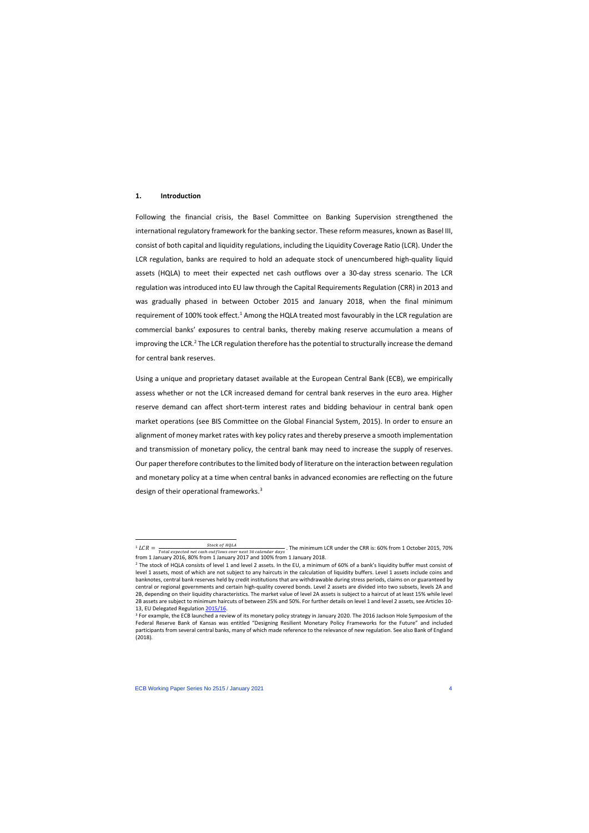## **1. Introduction**

Following the financial crisis, the Basel Committee on Banking Supervision strengthened the international regulatory framework for the banking sector. These reform measures, known as Basel III, consist of both capital and liquidity regulations, including the Liquidity Coverage Ratio (LCR). Under the LCR regulation, banks are required to hold an adequate stock of unencumbered high-quality liquid assets (HQLA) to meet their expected net cash outflows over a 30-day stress scenario. The LCR regulation was introduced into EU law through the Capital Requirements Regulation (CRR) in 2013 and was gradually phased in between October 2015 and January 2018, when the final minimum requirement of [1](#page-4-0)00% took effect.<sup>1</sup> Among the HQLA treated most favourably in the LCR regulation are commercial banks' exposures to central banks, thereby making reserve accumulation a means of improving the LCR.<sup>2</sup> The LCR regulation therefore has the potential to structurally increase the demand for central bank reserves.

Using a unique and proprietary dataset available at the European Central Bank (ECB), we empirically assess whether or not the LCR increased demand for central bank reserves in the euro area. Higher reserve demand can affect short-term interest rates and bidding behaviour in central bank open market operations (see BIS Committee on the Global Financial System, 2015). In order to ensure an alignment of money market rates with key policy rates and thereby preserve a smooth implementation and transmission of monetary policy, the central bank may need to increase the supply of reserves. Our paper therefore contributes to the limited body of literature on the interaction between regulation and monetary policy at a time when central banks in advanced economies are reflecting on the future design of their operational frameworks.<sup>[3](#page-4-2)</sup>

 $\frac{1}{1} LCR = \frac{1}{Total expected net cash outflows over next 30 calendar days}$ . The minimum LCR under the CRR is: 60% from 1 October 2015, 70% from 1 January 2016, 80% from 1 January 2017 and 100% from 1 January 2018.

<sup>&</sup>lt;sup>2</sup> The stock of HQLA consists of level 1 and level 2 assets. In the EU, a minimum of 60% of a bank's liquidity buffer must consist of level 1 assets, most of which are not subject to any haircuts in the calculation of liquidity buffers. Level 1 assets include coins and banknotes, central bank reserves held by credit institutions that are withdrawable during stress periods, claims on or guaranteed by central or regional governments and certain high-quality covered bonds. Level 2 assets are divided into two subsets, levels 2A and 2B, depending on their liquidity characteristics. The market value of level 2A assets is subject to a haircut of at least 15% while level 2B assets are subject to minimum haircuts of between 25% and 50%. For further details on level 1 and level 2 assets, see Articles 10- 13, EU Delegated Regulation [2015/16.](https://eur-lex.europa.eu/legal-content/EN/TXT/PDF/?uri=CELEX:32015R0061&from=EN)<br><sup>3</sup> For example, the ECB launched a review of its monetary policy strategy in January 2020. The 2016 Jackson Hole Symposium of the

<span id="page-4-2"></span><span id="page-4-1"></span><span id="page-4-0"></span>Federal Reserve Bank of Kansas was entitled "Designing Resilient Monetary Policy Frameworks for the Future" and included participants from several central banks, many of which made reference to the relevance of new regulation. See also Bank of England (2018).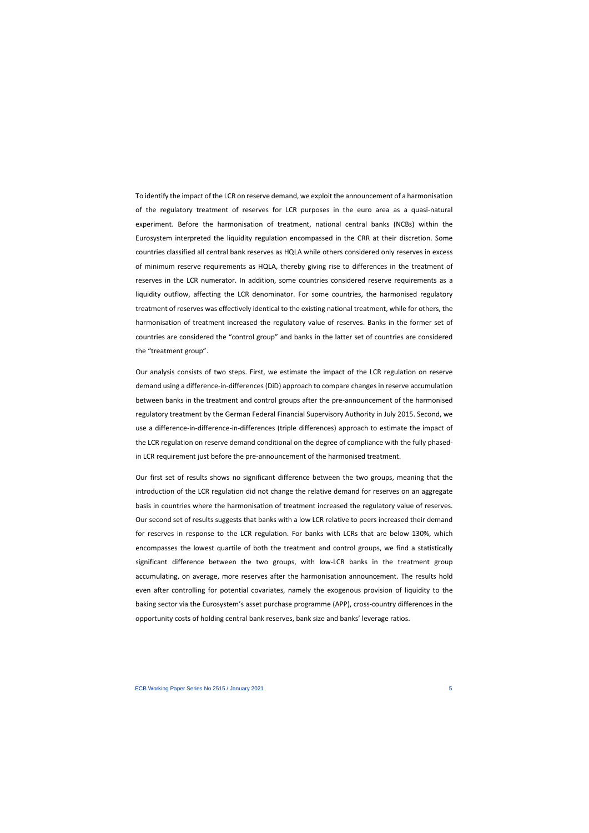To identify the impact of the LCR on reserve demand, we exploit the announcement of a harmonisation of the regulatory treatment of reserves for LCR purposes in the euro area as a quasi-natural experiment. Before the harmonisation of treatment, national central banks (NCBs) within the Eurosystem interpreted the liquidity regulation encompassed in the CRR at their discretion. Some countries classified all central bank reserves as HQLA while others considered only reserves in excess of minimum reserve requirements as HQLA, thereby giving rise to differences in the treatment of reserves in the LCR numerator. In addition, some countries considered reserve requirements as a liquidity outflow, affecting the LCR denominator. For some countries, the harmonised regulatory treatment of reserves was effectively identical to the existing national treatment, while for others, the harmonisation of treatment increased the regulatory value of reserves. Banks in the former set of countries are considered the "control group" and banks in the latter set of countries are considered the "treatment group".

Our analysis consists of two steps. First, we estimate the impact of the LCR regulation on reserve demand using a difference-in-differences (DiD) approach to compare changes in reserve accumulation between banks in the treatment and control groups after the pre-announcement of the harmonised regulatory treatment by the German Federal Financial Supervisory Authority in July 2015. Second, we use a difference-in-difference-in-differences (triple differences) approach to estimate the impact of the LCR regulation on reserve demand conditional on the degree of compliance with the fully phasedin LCR requirement just before the pre-announcement of the harmonised treatment.

Our first set of results shows no significant difference between the two groups, meaning that the introduction of the LCR regulation did not change the relative demand for reserves on an aggregate basis in countries where the harmonisation of treatment increased the regulatory value of reserves. Our second set of results suggests that banks with a low LCR relative to peers increased their demand for reserves in response to the LCR regulation. For banks with LCRs that are below 130%, which encompasses the lowest quartile of both the treatment and control groups, we find a statistically significant difference between the two groups, with low-LCR banks in the treatment group accumulating, on average, more reserves after the harmonisation announcement. The results hold even after controlling for potential covariates, namely the exogenous provision of liquidity to the baking sector via the Eurosystem's asset purchase programme (APP), cross-country differences in the opportunity costs of holding central bank reserves, bank size and banks' leverage ratios.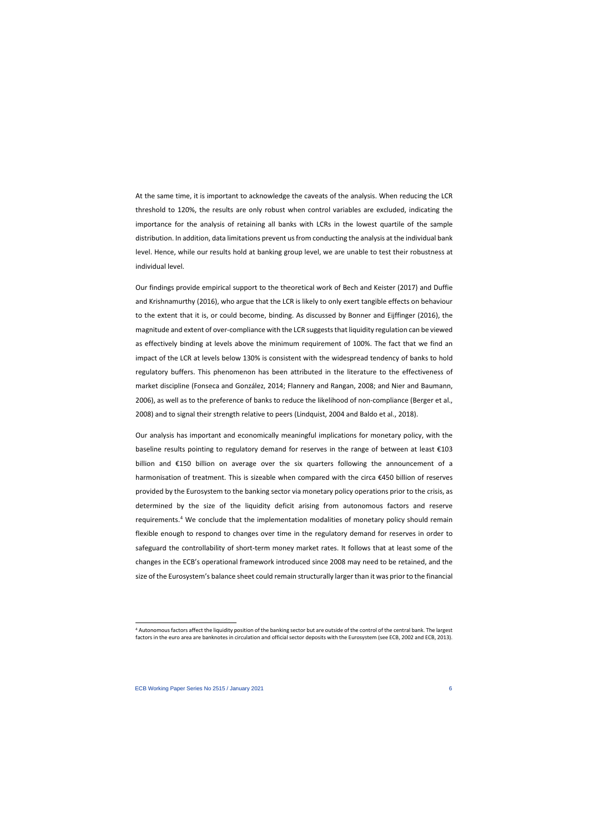At the same time, it is important to acknowledge the caveats of the analysis. When reducing the LCR threshold to 120%, the results are only robust when control variables are excluded, indicating the importance for the analysis of retaining all banks with LCRs in the lowest quartile of the sample distribution. In addition, data limitations prevent us from conducting the analysis at the individual bank level. Hence, while our results hold at banking group level, we are unable to test their robustness at individual level.

Our findings provide empirical support to the theoretical work of Bech and Keister (2017) and Duffie and Krishnamurthy (2016), who argue that the LCR is likely to only exert tangible effects on behaviour to the extent that it is, or could become, binding. As discussed by Bonner and Eijffinger (2016), the magnitude and extent of over-compliance with the LCR suggests that liquidity regulation can be viewed as effectively binding at levels above the minimum requirement of 100%. The fact that we find an impact of the LCR at levels below 130% is consistent with the widespread tendency of banks to hold regulatory buffers. This phenomenon has been attributed in the literature to the effectiveness of market discipline (Fonseca and González, 2014; Flannery and Rangan, 2008; and Nier and Baumann, 2006), as well as to the preference of banks to reduce the likelihood of non-compliance (Berger et al., 2008) and to signal their strength relative to peers (Lindquist, 2004 and Baldo et al., 2018).

Our analysis has important and economically meaningful implications for monetary policy, with the baseline results pointing to regulatory demand for reserves in the range of between at least  $\epsilon$ 103 billion and €150 billion on average over the six quarters following the announcement of a harmonisation of treatment. This is sizeable when compared with the circa €450 billion of reserves provided by the Eurosystem to the banking sector via monetary policy operations prior to the crisis, as determined by the size of the liquidity deficit arising from autonomous factors and reserve requirements.[4](#page-6-0) We conclude that the implementation modalities of monetary policy should remain flexible enough to respond to changes over time in the regulatory demand for reserves in order to safeguard the controllability of short-term money market rates. It follows that at least some of the changes in the ECB's operational framework introduced since 2008 may need to be retained, and the size of the Eurosystem's balance sheet could remain structurally larger than it was prior to the financial

<span id="page-6-0"></span><sup>4</sup> Autonomous factors affect the liquidity position of the banking sector but are outside of the control of the central bank. The largest factors in the euro area are banknotes in circulation and official sector deposits with the Eurosystem (see ECB, 2002 and ECB, 2013).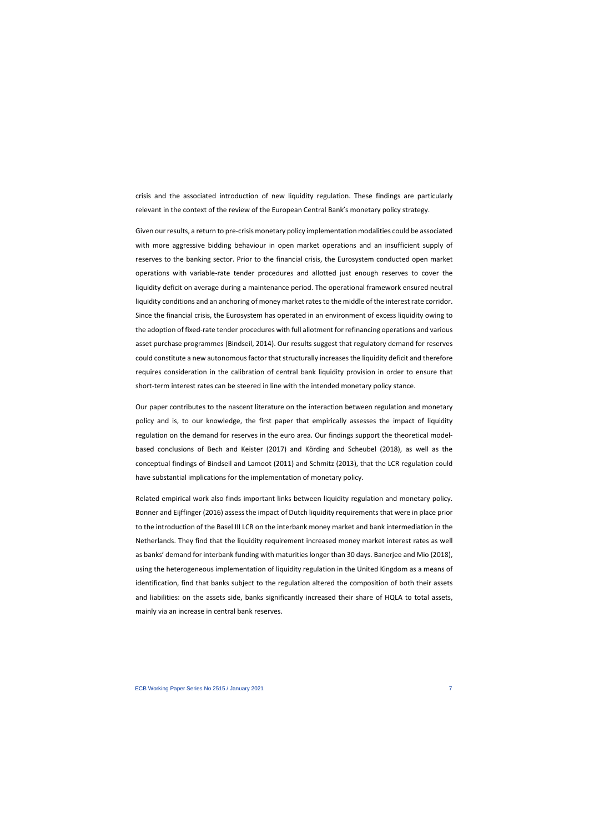crisis and the associated introduction of new liquidity regulation. These findings are particularly relevant in the context of the review of the European Central Bank's monetary policy strategy.

Given our results, a return to pre-crisis monetary policy implementation modalities could be associated with more aggressive bidding behaviour in open market operations and an insufficient supply of reserves to the banking sector. Prior to the financial crisis, the Eurosystem conducted open market operations with variable-rate tender procedures and allotted just enough reserves to cover the liquidity deficit on average during a maintenance period. The operational framework ensured neutral liquidity conditions and an anchoring of money market rates to the middle of the interest rate corridor. Since the financial crisis, the Eurosystem has operated in an environment of excess liquidity owing to the adoption of fixed-rate tender procedures with full allotment for refinancing operations and various asset purchase programmes (Bindseil, 2014). Our results suggest that regulatory demand for reserves could constitute a new autonomous factor that structurally increases the liquidity deficit and therefore requires consideration in the calibration of central bank liquidity provision in order to ensure that short-term interest rates can be steered in line with the intended monetary policy stance.

Our paper contributes to the nascent literature on the interaction between regulation and monetary policy and is, to our knowledge, the first paper that empirically assesses the impact of liquidity regulation on the demand for reserves in the euro area. Our findings support the theoretical modelbased conclusions of Bech and Keister (2017) and Körding and Scheubel (2018), as well as the conceptual findings of Bindseil and Lamoot (2011) and Schmitz (2013), that the LCR regulation could have substantial implications for the implementation of monetary policy.

Related empirical work also finds important links between liquidity regulation and monetary policy. Bonner and Eijffinger (2016) assess the impact of Dutch liquidity requirements that were in place prior to the introduction of the Basel III LCR on the interbank money market and bank intermediation in the Netherlands. They find that the liquidity requirement increased money market interest rates as well as banks' demand for interbank funding with maturities longer than 30 days. Banerjee and Mio (2018), using the heterogeneous implementation of liquidity regulation in the United Kingdom as a means of identification, find that banks subject to the regulation altered the composition of both their assets and liabilities: on the assets side, banks significantly increased their share of HQLA to total assets, mainly via an increase in central bank reserves.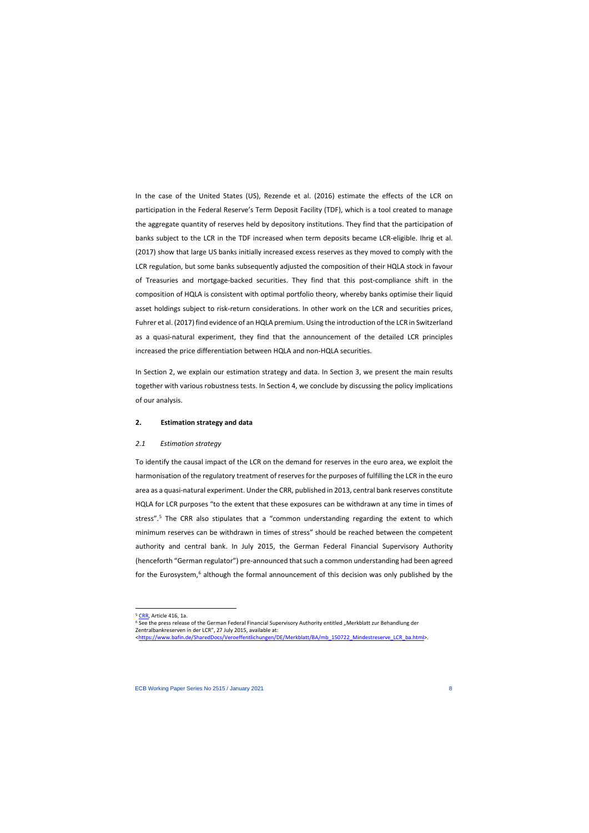In the case of the United States (US), Rezende et al. (2016) estimate the effects of the LCR on participation in the Federal Reserve's Term Deposit Facility (TDF), which is a tool created to manage the aggregate quantity of reserves held by depository institutions. They find that the participation of banks subject to the LCR in the TDF increased when term deposits became LCR-eligible. Ihrig et al. (2017) show that large US banks initially increased excess reserves as they moved to comply with the LCR regulation, but some banks subsequently adjusted the composition of their HQLA stock in favour of Treasuries and mortgage-backed securities. They find that this post-compliance shift in the composition of HQLA is consistent with optimal portfolio theory, whereby banks optimise their liquid asset holdings subject to risk-return considerations. In other work on the LCR and securities prices, Fuhrer et al. (2017) find evidence of an HQLA premium. Using the introduction of the LCR in Switzerland as a quasi-natural experiment, they find that the announcement of the detailed LCR principles increased the price differentiation between HQLA and non-HQLA securities.

In Section 2, we explain our estimation strategy and data. In Section 3, we present the main results together with various robustness tests. In Section 4, we conclude by discussing the policy implications of our analysis.

#### **2. Estimation strategy and data**

#### *2.1 Estimation strategy*

To identify the causal impact of the LCR on the demand for reserves in the euro area, we exploit the harmonisation of the regulatory treatment of reserves for the purposes of fulfilling the LCR in the euro area as a quasi-natural experiment. Under the CRR, published in 2013, central bank reserves constitute HQLA for LCR purposes "to the extent that these exposures can be withdrawn at any time in times of stress".<sup>[5](#page-8-0)</sup> The CRR also stipulates that a "common understanding regarding the extent to which minimum reserves can be withdrawn in times of stress" should be reached between the competent authority and central bank. In July 2015, the German Federal Financial Supervisory Authority (henceforth "German regulator") pre-announced that such a common understanding had been agreed for the Eurosystem,<sup>[6](#page-8-1)</sup> although the formal announcement of this decision was only published by the

<sup>&</sup>lt;sup>5</sup> [CRR,](http://eur-lex.europa.eu/legal-content/EN/TXT/PDF/?uri=CELEX:32013R0575&from=EN) Article 416, 1a.

<sup>&</sup>lt;sup>6</sup> See the press release of the German Federal Financial Supervisory Authority entitled "Merkblatt zur Behandlung der Zentralbankreserven in der LCR", 27 July 2015, available at:

<span id="page-8-1"></span><span id="page-8-0"></span>[<sup>&</sup>lt;https://www.bafin.de/SharedDocs/Veroeffentlichungen/DE/Merkblatt/BA/mb\\_150722\\_Mindestreserve\\_LCR\\_ba.html>](https://www.bafin.de/SharedDocs/Veroeffentlichungen/DE/Merkblatt/BA/mb_150722_Mindestreserve_LCR_ba.html).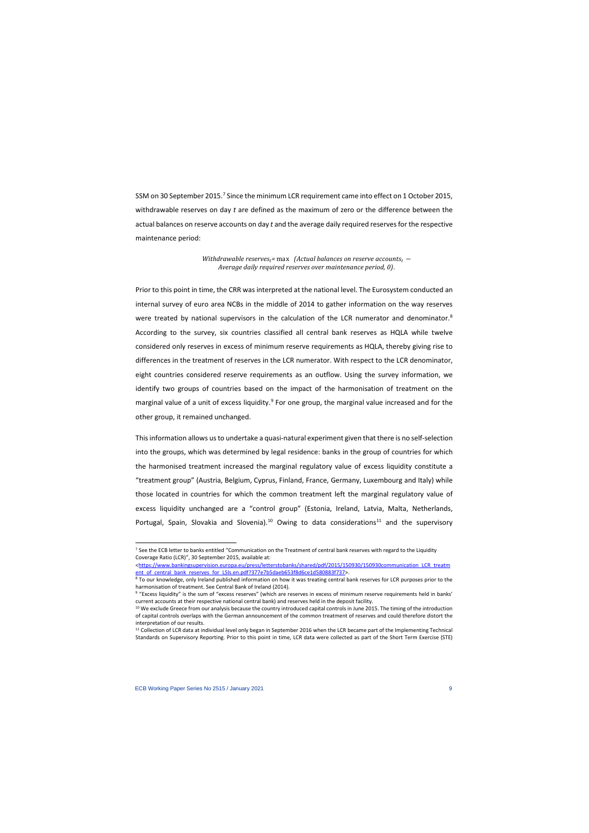SSM on 30 September 2015.<sup>[7](#page-9-0)</sup> Since the minimum LCR requirement came into effect on 1 October 2015, withdrawable reserves on day *t* are defined as the maximum of zero or the difference between the actual balances on reserve accounts on day *t* and the average daily required reserves for the respective maintenance period:

> *Withdrawable reserves<sub>t</sub>= max (Actual balances on reserve accounts<sub>t</sub> − Average daily required reserves over maintenance period, 0)*.

Prior to this point in time, the CRR was interpreted at the national level. The Eurosystem conducted an internal survey of euro area NCBs in the middle of 2014 to gather information on the way reserves were treated by national supervisors in the calculation of the LCR numerator and denominator.<sup>[8](#page-9-1)</sup> According to the survey, six countries classified all central bank reserves as HQLA while twelve considered only reserves in excess of minimum reserve requirements as HQLA, thereby giving rise to differences in the treatment of reserves in the LCR numerator. With respect to the LCR denominator, eight countries considered reserve requirements as an outflow. Using the survey information, we identify two groups of countries based on the impact of the harmonisation of treatment on the marginal value of a unit of excess liquidity.<sup>[9](#page-9-2)</sup> For one group, the marginal value increased and for the other group, it remained unchanged.

This information allows us to undertake a quasi-natural experiment given that there is no self-selection into the groups, which was determined by legal residence: banks in the group of countries for which the harmonised treatment increased the marginal regulatory value of excess liquidity constitute a "treatment group" (Austria, Belgium, Cyprus, Finland, France, Germany, Luxembourg and Italy) while those located in countries for which the common treatment left the marginal regulatory value of excess liquidity unchanged are a "control group" (Estonia, Ireland, Latvia, Malta, Netherlands, Portugal, Spain, Slovakia and Slovenia).<sup>[10](#page-9-3)</sup> Owing to data considerations<sup>[11](#page-9-4)</sup> and the supervisory

<sup>&</sup>lt;sup>7</sup> See the ECB letter to banks entitled "Communication on the Treatment of central bank reserves with regard to the Liquidity Coverage Ratio (LCR)", 30 September 2015, available at:

[<sup>&</sup>lt;https://www.bankingsupervision.europa.eu/press/letterstobanks/shared/pdf/2015/150930/150930communication\\_LCR\\_treatm](https://www.bankingsupervision.europa.eu/press/letterstobanks/shared/pdf/2015/150930/150930communication_LCR_treatment_of_central_bank_reserves_for_LSIs.en.pdf?377e7b5daeb653f8d6ce1d580883f737) [ent\\_of\\_central\\_bank\\_reserves\\_for\\_LSIs.en.pdf?377e7b5daeb653f8d6ce1d580883f737>](https://www.bankingsupervision.europa.eu/press/letterstobanks/shared/pdf/2015/150930/150930communication_LCR_treatment_of_central_bank_reserves_for_LSIs.en.pdf?377e7b5daeb653f8d6ce1d580883f737).

<sup>&</sup>lt;sup>8</sup> To our knowledge, only Ireland published information on how it was treating central bank reserves for LCR purposes prior to the harmonisation of treatment. See Central Bank of Ireland (2014).

<sup>9</sup> "Excess liquidity" is the sum of "excess reserves" (which are reserves in excess of minimum reserve requirements held in banks' current accounts at their respective national central bank) and reserves held in the deposit facility.

<sup>&</sup>lt;sup>10</sup> We exclude Greece from our analysis because the country introduced capital controls in June 2015. The timing of the introduction of capital controls overlaps with the German announcement of the common treatment of reserves and could therefore distort the interpretation of our results.

<span id="page-9-4"></span><span id="page-9-3"></span><span id="page-9-2"></span><span id="page-9-1"></span><span id="page-9-0"></span><sup>11</sup> Collection of LCR data at individual level only began in September 2016 when the LCR became part of the Implementing Technical Standards on Supervisory Reporting. Prior to this point in time, LCR data were collected as part of the Short Term Exercise (STE)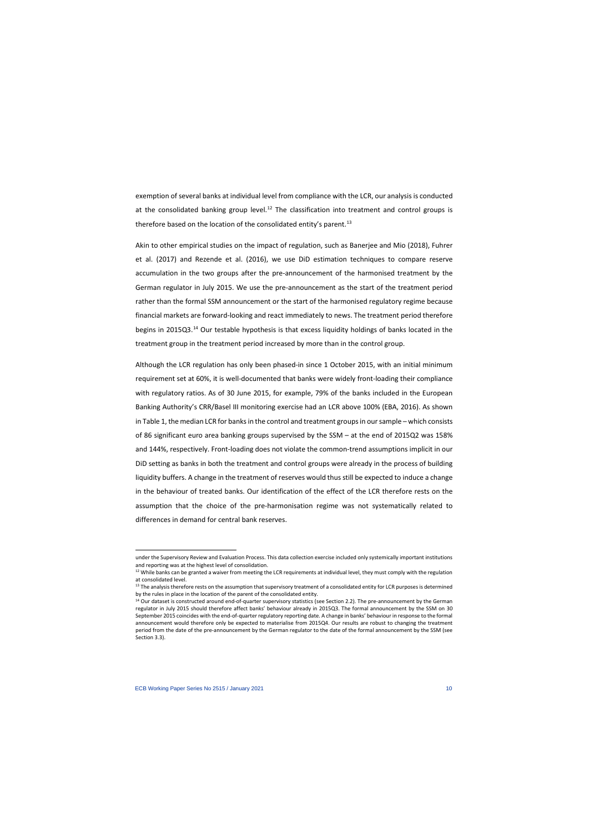exemption of several banks at individual level from compliance with the LCR, our analysis is conducted at the consolidated banking group level. $^{12}$  $^{12}$  $^{12}$  The classification into treatment and control groups is therefore based on the location of the consolidated entity's parent.<sup>13</sup>

Akin to other empirical studies on the impact of regulation, such as Banerjee and Mio (2018), Fuhrer et al. (2017) and Rezende et al. (2016), we use DiD estimation techniques to compare reserve accumulation in the two groups after the pre-announcement of the harmonised treatment by the German regulator in July 2015. We use the pre-announcement as the start of the treatment period rather than the formal SSM announcement or the start of the harmonised regulatory regime because financial markets are forward-looking and react immediately to news. The treatment period therefore begins in 2015Q3.[14](#page-10-2) Our testable hypothesis is that excess liquidity holdings of banks located in the treatment group in the treatment period increased by more than in the control group.

Although the LCR regulation has only been phased-in since 1 October 2015, with an initial minimum requirement set at 60%, it is well-documented that banks were widely front-loading their compliance with regulatory ratios. As of 30 June 2015, for example, 79% of the banks included in the European Banking Authority's CRR/Basel III monitoring exercise had an LCR above 100% (EBA, 2016). As shown in Table 1, the median LCR for banks in the control and treatment groups in our sample – which consists of 86 significant euro area banking groups supervised by the SSM – at the end of 2015Q2 was 158% and 144%, respectively. Front-loading does not violate the common-trend assumptions implicit in our DiD setting as banks in both the treatment and control groups were already in the process of building liquidity buffers. A change in the treatment of reserves would thus still be expected to induce a change in the behaviour of treated banks. Our identification of the effect of the LCR therefore rests on the assumption that the choice of the pre-harmonisation regime was not systematically related to differences in demand for central bank reserves.

under the Supervisory Review and Evaluation Process. This data collection exercise included only systemically important institutions and reporting was at the highest level of consolidation.

 $12$  While banks can be granted a waiver from meeting the LCR requirements at individual level, they must comply with the regulation at consolidated level.

<sup>&</sup>lt;sup>13</sup> The analysis therefore rests on the assumption that supervisory treatment of a consolidated entity for LCR purposes is determined by the rules in place in the location of the parent of the consolidated entity.

<span id="page-10-2"></span><span id="page-10-1"></span><span id="page-10-0"></span><sup>&</sup>lt;sup>14</sup> Our dataset is constructed around end-of-quarter supervisory statistics (see Section 2.2). The pre-announcement by the German regulator in July 2015 should therefore affect banks' behaviour already in 2015Q3. The formal announcement by the SSM on 30 September 2015 coincides with the end-of-quarter regulatory reporting date. A change in banks' behaviour in response to the formal announcement would therefore only be expected to materialise from 2015Q4. Our results are robust to changing the treatment period from the date of the pre-announcement by the German regulator to the date of the formal announcement by the SSM (see Section 3.3).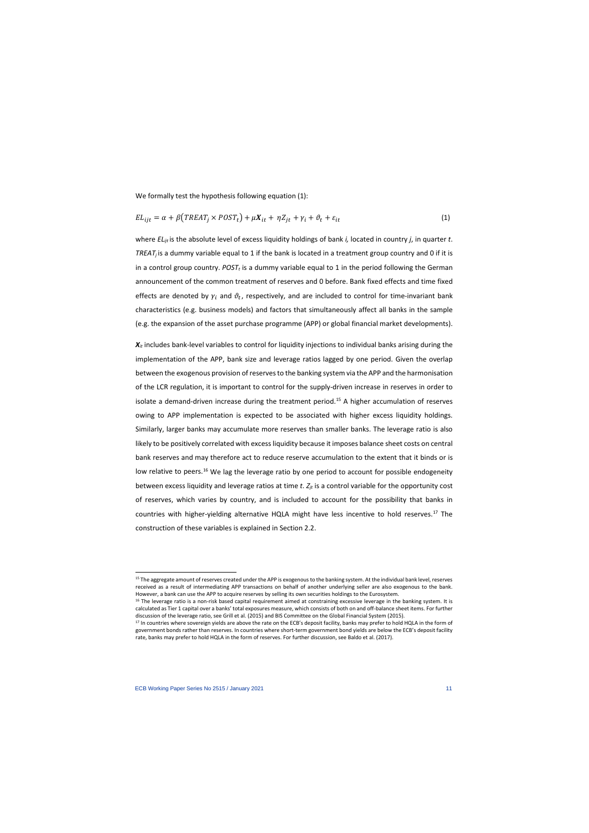We formally test the hypothesis following equation (1):

$$
EL_{ijt} = \alpha + \beta \left( TREAT_j \times POST_t \right) + \mu X_{it} + \eta Z_{jt} + \gamma_i + \vartheta_t + \varepsilon_{it}
$$
\n<sup>(1)</sup>

where *ELijt* is the absolute level of excess liquidity holdings of bank *i,* located in country *j*, in quarter *t*. *TREAT<sub>i</sub>* is a dummy variable equal to 1 if the bank is located in a treatment group country and 0 if it is in a control group country.  $POST<sub>r</sub>$  is a dummy variable equal to 1 in the period following the German announcement of the common treatment of reserves and 0 before. Bank fixed effects and time fixed effects are denoted by  $\gamma_i$  and  $\vartheta_t$ , respectively, and are included to control for time-invariant bank characteristics (e.g. business models) and factors that simultaneously affect all banks in the sample (e.g. the expansion of the asset purchase programme (APP) or global financial market developments).

 $X_{it}$  includes bank-level variables to control for liquidity injections to individual banks arising during the implementation of the APP, bank size and leverage ratios lagged by one period. Given the overlap between the exogenous provision of reserves to the banking system via the APP and the harmonisation of the LCR regulation, it is important to control for the supply-driven increase in reserves in order to isolate a demand-driven increase during the treatment period.<sup>[15](#page-11-0)</sup> A higher accumulation of reserves owing to APP implementation is expected to be associated with higher excess liquidity holdings. Similarly, larger banks may accumulate more reserves than smaller banks. The leverage ratio is also likely to be positively correlated with excess liquidity because it imposes balance sheet costs on central bank reserves and may therefore act to reduce reserve accumulation to the extent that it binds or is low relative to peers.<sup>[16](#page-11-1)</sup> We lag the leverage ratio by one period to account for possible endogeneity between excess liquidity and leverage ratios at time *t*.  $Z_{it}$  is a control variable for the opportunity cost of reserves, which varies by country, and is included to account for the possibility that banks in countries with higher-yielding alternative HQLA might have less incentive to hold reserves.<sup>[17](#page-11-2)</sup> The construction of these variables is explained in Section 2.2.

<sup>&</sup>lt;sup>15</sup> The aggregate amount of reserves created under the APP is exogenous to the banking system. At the individual bank level, reserves received as a result of intermediating APP transactions on behalf of another underlying seller are also exogenous to the bank. However, a bank can use the APP to acquire reserves by selling its own securities holdings to the Eurosystem.

 $16$  The leverage ratio is a non-risk based capital requirement aimed at constraining excessive leverage in the banking system. It is calculated as Tier 1 capital over a banks' total exposures measure, which consists of both on and off-balance sheet items. For further discussion of the leverage ratio, see Grill et al. (2015) and BIS Committee on the Global Financial System (2015).

<span id="page-11-2"></span><span id="page-11-1"></span><span id="page-11-0"></span><sup>&</sup>lt;sup>17</sup> In countries where sovereign yields are above the rate on the ECB's deposit facility, banks may prefer to hold HQLA in the form of government bonds rather than reserves. In countries where short-term government bond yields are below the ECB's deposit facility rate, banks may prefer to hold HQLA in the form of reserves. For further discussion, see Baldo et al. (2017).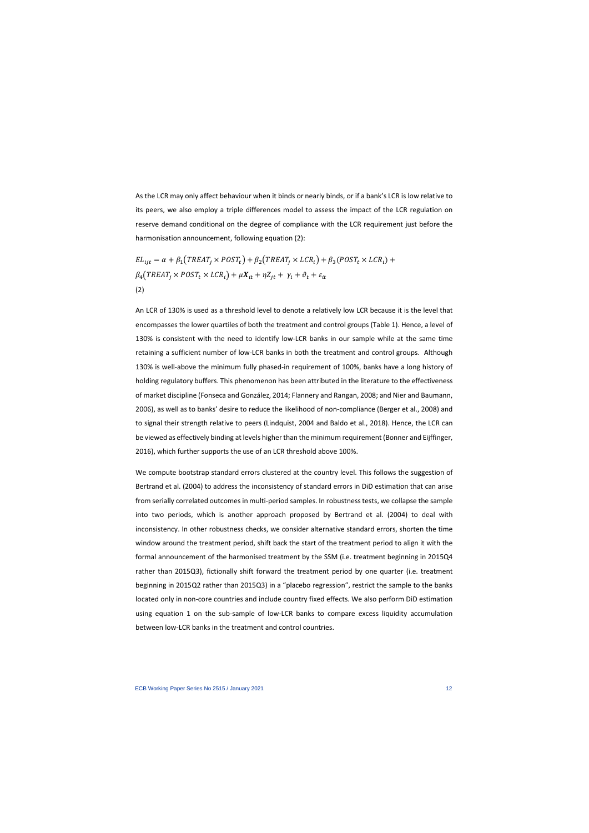As the LCR may only affect behaviour when it binds or nearly binds, or if a bank's LCR is low relative to its peers, we also employ a triple differences model to assess the impact of the LCR regulation on reserve demand conditional on the degree of compliance with the LCR requirement just before the harmonisation announcement, following equation (2):

$$
EL_{ijt} = \alpha + \beta_1 \left( TREAT_j \times POST_t \right) + \beta_2 \left( TREAT_j \times LCR_i \right) + \beta_3 \left( POST_t \times LCR_i \right) + \beta_4 \left( TREAT_j \times POST_t \times LCR_i \right) + \mu X_{it} + \eta Z_{jt} + \gamma_i + \vartheta_t + \varepsilon_{it}
$$
\n(2)

An LCR of 130% is used as a threshold level to denote a relatively low LCR because it is the level that encompasses the lower quartiles of both the treatment and control groups (Table 1). Hence, a level of 130% is consistent with the need to identify low-LCR banks in our sample while at the same time retaining a sufficient number of low-LCR banks in both the treatment and control groups. Although 130% is well-above the minimum fully phased-in requirement of 100%, banks have a long history of holding regulatory buffers. This phenomenon has been attributed in the literature to the effectiveness of market discipline (Fonseca and González, 2014; Flannery and Rangan, 2008; and Nier and Baumann, 2006), as well as to banks' desire to reduce the likelihood of non-compliance (Berger et al., 2008) and to signal their strength relative to peers (Lindquist, 2004 and Baldo et al., 2018). Hence, the LCR can be viewed as effectively binding at levels higher than the minimum requirement (Bonner and Eijffinger, 2016), which further supports the use of an LCR threshold above 100%.

We compute bootstrap standard errors clustered at the country level. This follows the suggestion of Bertrand et al. (2004) to address the inconsistency of standard errors in DiD estimation that can arise from serially correlated outcomes in multi-period samples. In robustness tests, we collapse the sample into two periods, which is another approach proposed by Bertrand et al. (2004) to deal with inconsistency. In other robustness checks, we consider alternative standard errors, shorten the time window around the treatment period, shift back the start of the treatment period to align it with the formal announcement of the harmonised treatment by the SSM (i.e. treatment beginning in 2015Q4 rather than 2015Q3), fictionally shift forward the treatment period by one quarter (i.e. treatment beginning in 2015Q2 rather than 2015Q3) in a "placebo regression", restrict the sample to the banks located only in non-core countries and include country fixed effects. We also perform DiD estimation using equation 1 on the sub-sample of low-LCR banks to compare excess liquidity accumulation between low-LCR banks in the treatment and control countries.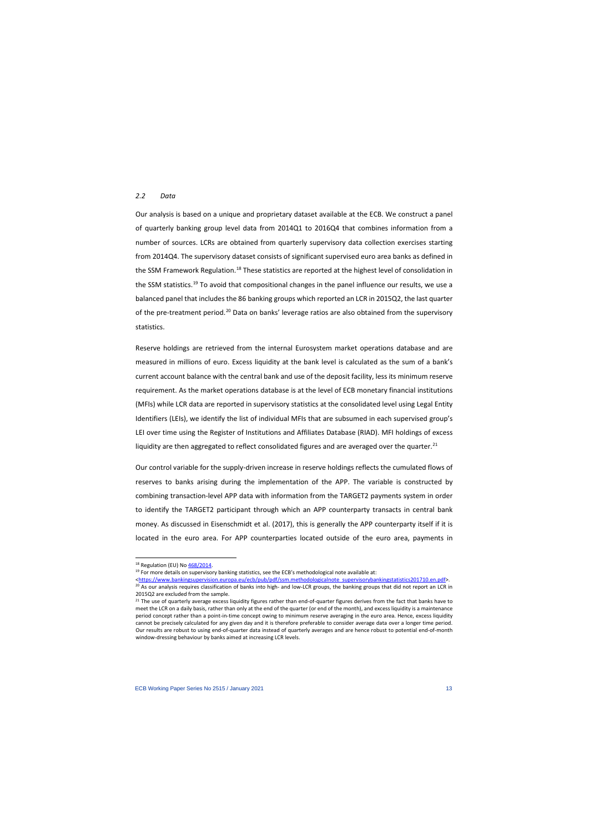#### *2.2 Data*

Our analysis is based on a unique and proprietary dataset available at the ECB. We construct a panel of quarterly banking group level data from 2014Q1 to 2016Q4 that combines information from a number of sources. LCRs are obtained from quarterly supervisory data collection exercises starting from 2014Q4. The supervisory dataset consists of significant supervised euro area banks as defined in the SSM Framework Regulation.<sup>[18](#page-13-0)</sup> These statistics are reported at the highest level of consolidation in the SSM statistics.<sup>[19](#page-13-1)</sup> To avoid that compositional changes in the panel influence our results, we use a balanced panel that includes the 86 banking groups which reported an LCR in 2015Q2, the last quarter of the pre-treatment period.<sup>[20](#page-13-2)</sup> Data on banks' leverage ratios are also obtained from the supervisory statistics.

Reserve holdings are retrieved from the internal Eurosystem market operations database and are measured in millions of euro. Excess liquidity at the bank level is calculated as the sum of a bank's current account balance with the central bank and use of the deposit facility, less its minimum reserve requirement. As the market operations database is at the level of ECB monetary financial institutions (MFIs) while LCR data are reported in supervisory statistics at the consolidated level using Legal Entity Identifiers (LEIs), we identify the list of individual MFIs that are subsumed in each supervised group's LEI over time using the Register of Institutions and Affiliates Database (RIAD). MFI holdings of excess liquidity are then aggregated to reflect consolidated figures and are averaged over the quarter.<sup>[21](#page-13-3)</sup>

Our control variable for the supply-driven increase in reserve holdings reflects the cumulated flows of reserves to banks arising during the implementation of the APP. The variable is constructed by combining transaction-level APP data with information from the TARGET2 payments system in order to identify the TARGET2 participant through which an APP counterparty transacts in central bank money. As discussed in Eisenschmidt et al. (2017), this is generally the APP counterparty itself if it is located in the euro area. For APP counterparties located outside of the euro area, payments in

[<https://www.bankingsupervision.europa.eu/ecb/pub/pdf/ssm.methodologicalnote\\_supervisorybankingstatistics201710.en.pdf>](https://www.bankingsupervision.europa.eu/ecb/pub/pdf/ssm.methodologicalnote_supervisorybankingstatistics201710.en.pdf).

<sup>&</sup>lt;sup>18</sup> Regulation (EU) No  $\frac{468}{2014}$ .<br><sup>19</sup> For more details on supervisory banking statistics, see the ECB's methodological note available at:

<sup>&</sup>lt;sup>20</sup> As our analysis requires classification of banks into high- and low-LCR groups, the banking groups that did not report an LCR in 2015Q2 are excluded from the sample.

<span id="page-13-3"></span><span id="page-13-2"></span><span id="page-13-1"></span><span id="page-13-0"></span><sup>&</sup>lt;sup>21</sup> The use of quarterly average excess liquidity figures rather than end-of-quarter figures derives from the fact that banks have to meet the LCR on a daily basis, rather than only at the end of the quarter (or end of the month), and excess liquidity is a maintenance period concept rather than a point-in-time concept owing to minimum reserve averaging in the euro area. Hence, excess liquidity cannot be precisely calculated for any given day and it is therefore preferable to consider average data over a longer time period. Our results are robust to using end-of-quarter data instead of quarterly averages and are hence robust to potential end-of-month window-dressing behaviour by banks aimed at increasing LCR levels.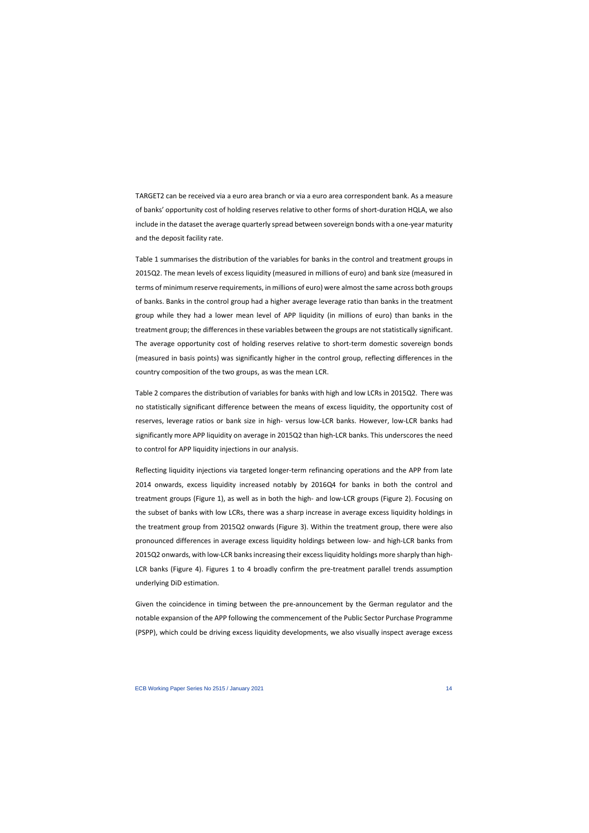TARGET2 can be received via a euro area branch or via a euro area correspondent bank. As a measure of banks' opportunity cost of holding reserves relative to other forms of short-duration HQLA, we also include in the dataset the average quarterly spread between sovereign bonds with a one-year maturity and the deposit facility rate.

Table 1 summarises the distribution of the variables for banks in the control and treatment groups in 2015Q2. The mean levels of excess liquidity (measured in millions of euro) and bank size (measured in terms of minimum reserve requirements, in millions of euro) were almost the same across both groups of banks. Banks in the control group had a higher average leverage ratio than banks in the treatment group while they had a lower mean level of APP liquidity (in millions of euro) than banks in the treatment group; the differences in these variables between the groups are not statistically significant. The average opportunity cost of holding reserves relative to short-term domestic sovereign bonds (measured in basis points) was significantly higher in the control group, reflecting differences in the country composition of the two groups, as was the mean LCR.

Table 2 compares the distribution of variables for banks with high and low LCRs in 2015Q2. There was no statistically significant difference between the means of excess liquidity, the opportunity cost of reserves, leverage ratios or bank size in high- versus low-LCR banks. However, low-LCR banks had significantly more APP liquidity on average in 2015Q2 than high-LCR banks. This underscores the need to control for APP liquidity injections in our analysis.

Reflecting liquidity injections via targeted longer-term refinancing operations and the APP from late 2014 onwards, excess liquidity increased notably by 2016Q4 for banks in both the control and treatment groups (Figure 1), as well as in both the high- and low-LCR groups (Figure 2). Focusing on the subset of banks with low LCRs, there was a sharp increase in average excess liquidity holdings in the treatment group from 2015Q2 onwards (Figure 3). Within the treatment group, there were also pronounced differences in average excess liquidity holdings between low- and high-LCR banks from 2015Q2 onwards, with low-LCR banks increasing their excess liquidity holdings more sharply than high-LCR banks (Figure 4). Figures 1 to 4 broadly confirm the pre-treatment parallel trends assumption underlying DiD estimation.

Given the coincidence in timing between the pre-announcement by the German regulator and the notable expansion of the APP following the commencement of the Public Sector Purchase Programme (PSPP), which could be driving excess liquidity developments, we also visually inspect average excess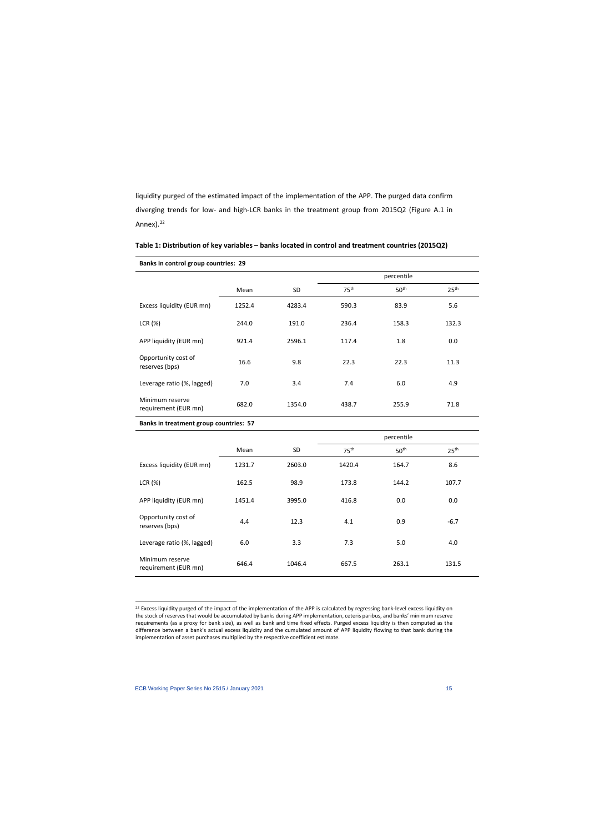liquidity purged of the estimated impact of the implementation of the APP. The purged data confirm diverging trends for low- and high-LCR banks in the treatment group from 2015Q2 (Figure A.1 in Annex $\lambda$ <sup>[22](#page-15-0)</sup>

| <b>Banks in control group countries: 29</b> |        |        |                  |                  |                  |  |
|---------------------------------------------|--------|--------|------------------|------------------|------------------|--|
|                                             |        |        |                  | percentile       |                  |  |
|                                             | Mean   | SD.    | 75 <sup>th</sup> | 50 <sup>th</sup> | 25 <sup>th</sup> |  |
| Excess liquidity (EUR mn)                   | 1252.4 | 4283.4 | 590.3            | 83.9             | 5.6              |  |
| LCR(%)                                      | 244.0  | 191.0  | 236.4            | 158.3            | 132.3            |  |
| APP liquidity (EUR mn)                      | 921.4  | 2596.1 | 117.4            | 1.8              | 0.0              |  |
| Opportunity cost of<br>reserves (bps)       | 16.6   | 9.8    | 22.3             | 22.3             | 11.3             |  |
| Leverage ratio (%, lagged)                  | 7.0    | 3.4    | 7.4              | 6.0              | 4.9              |  |
| Minimum reserve<br>requirement (EUR mn)     | 682.0  | 1354.0 | 438.7            | 255.9            | 71.8             |  |

| Table 1: Distribution of key variables - banks located in control and treatment countries (2015Q2) |  |  |
|----------------------------------------------------------------------------------------------------|--|--|
|----------------------------------------------------------------------------------------------------|--|--|

**Banks in treatment group countries: 57** 

|                                         |        |        |                  | percentile       |                  |
|-----------------------------------------|--------|--------|------------------|------------------|------------------|
|                                         | Mean   | SD     | 75 <sup>th</sup> | 50 <sup>th</sup> | 25 <sup>th</sup> |
| Excess liquidity (EUR mn)               | 1231.7 | 2603.0 | 1420.4           | 164.7            | 8.6              |
| LCR(%)                                  | 162.5  | 98.9   | 173.8            | 144.2            | 107.7            |
| APP liquidity (EUR mn)                  | 1451.4 | 3995.0 | 416.8            | 0.0              | 0.0              |
| Opportunity cost of<br>reserves (bps)   | 4.4    | 12.3   | 4.1              | 0.9              | $-6.7$           |
| Leverage ratio (%, lagged)              | 6.0    | 3.3    | 7.3              | 5.0              | 4.0              |
| Minimum reserve<br>requirement (EUR mn) | 646.4  | 1046.4 | 667.5            | 263.1            | 131.5            |

<span id="page-15-0"></span><sup>&</sup>lt;sup>22</sup> Excess liquidity purged of the impact of the implementation of the APP is calculated by regressing bank-level excess liquidity on the stock of reserves that would be accumulated by banks during APP implementation, ceteris paribus, and banks' minimum reserve requirements (as a proxy for bank size), as well as bank and time fixed effects. Purged excess liquidity is then computed as the difference between a bank's actual excess liquidity and the cumulated amount of APP liquidity flowing to that bank during the implementation of asset purchases multiplied by the respective coefficient estimate.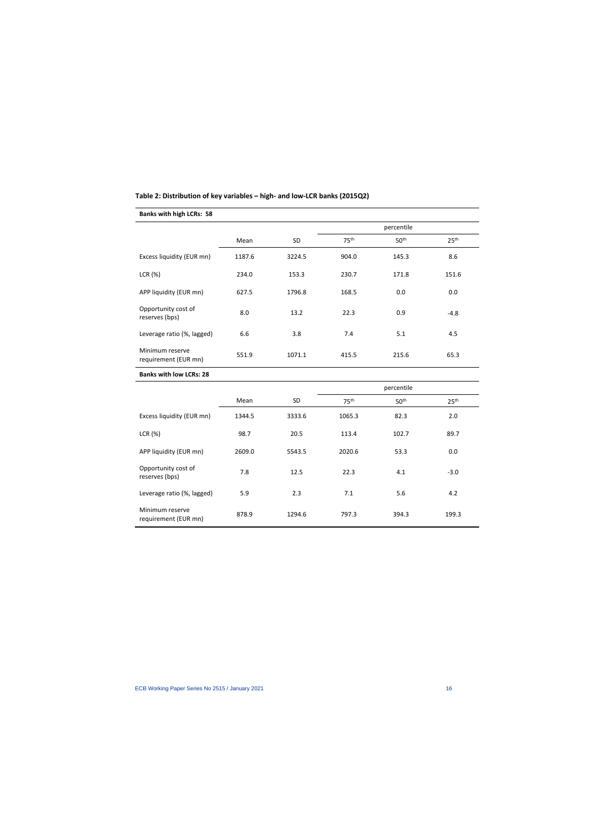# **Table 2: Distribution of key variables – high- and low-LCR banks (2015Q2)**

# **Banks with high LCRs: 58**

|                                         |        |           |                  | percentile       |                  |
|-----------------------------------------|--------|-----------|------------------|------------------|------------------|
|                                         | Mean   | <b>SD</b> | 75 <sup>th</sup> | 50 <sup>th</sup> | 25 <sup>th</sup> |
| Excess liquidity (EUR mn)               | 1187.6 | 3224.5    | 904.0            | 145.3            | 8.6              |
| LCR(%)                                  | 234.0  | 153.3     | 230.7            | 171.8            | 151.6            |
| APP liquidity (EUR mn)                  | 627.5  | 1796.8    | 168.5            | 0.0              | 0.0              |
| Opportunity cost of<br>reserves (bps)   | 8.0    | 13.2      | 22.3             | 0.9              | $-4.8$           |
| Leverage ratio (%, lagged)              | 6.6    | 3.8       | 7.4              | 5.1              | 4.5              |
| Minimum reserve<br>requirement (EUR mn) | 551.9  | 1071.1    | 415.5            | 215.6            | 65.3             |
| <b>Banks with low LCRs: 28</b>          |        |           |                  |                  |                  |

|                                         |        |        | percentile       |                  |                  |
|-----------------------------------------|--------|--------|------------------|------------------|------------------|
|                                         | Mean   | SD     | 75 <sup>th</sup> | 50 <sup>th</sup> | 25 <sup>th</sup> |
| Excess liquidity (EUR mn)               | 1344.5 | 3333.6 | 1065.3           | 82.3             | 2.0              |
| LCR(%)                                  | 98.7   | 20.5   | 113.4            | 102.7            | 89.7             |
| APP liquidity (EUR mn)                  | 2609.0 | 5543.5 | 2020.6           | 53.3             | 0.0              |
| Opportunity cost of<br>reserves (bps)   | 7.8    | 12.5   | 22.3             | 4.1              | $-3.0$           |
| Leverage ratio (%, lagged)              | 5.9    | 2.3    | 7.1              | 5.6              | 4.2              |
| Minimum reserve<br>requirement (EUR mn) | 878.9  | 1294.6 | 797.3            | 394.3            | 199.3            |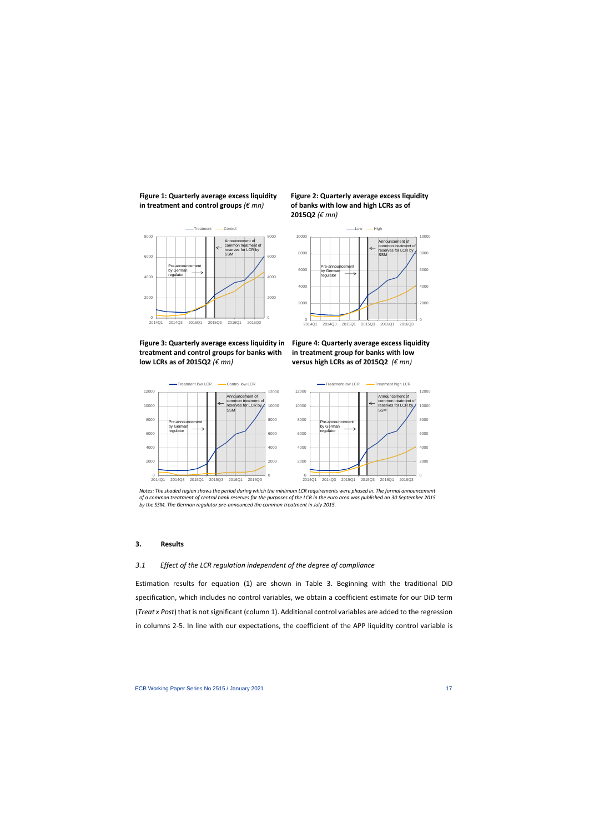**Figure 1: Quarterly average excess liquidity in treatment and control groups** *(€ mn)*



# **Figure 3: Quarterly average excess liquidity in treatment and control groups for banks with low LCRs as of 2015Q2** *(€ mn)*





**Figure 4: Quarterly average excess liquidity in treatment group for banks with low versus high LCRs as of 2015Q2** *(€ mn)*



*Notes: The shaded region shows the period during which the minimum LCR requirements were phased in. The formal announcement of a common treatment of central bank reserves for the purposes of the LCR in the euro area was published on 30 September 2015 by the SSM. The German regulator pre-announced the common treatment in July 2015.*

### **3. Results**

#### *3.1 Effect of the LCR regulation independent of the degree of compliance*

Estimation results for equation (1) are shown in Table 3. Beginning with the traditional DiD specification, which includes no control variables, we obtain a coefficient estimate for our DiD term (*Treat x Post*) that is not significant (column 1). Additional control variables are added to the regression in columns 2-5. In line with our expectations, the coefficient of the APP liquidity control variable is

0

2000 4000 6000

8000 10000 12000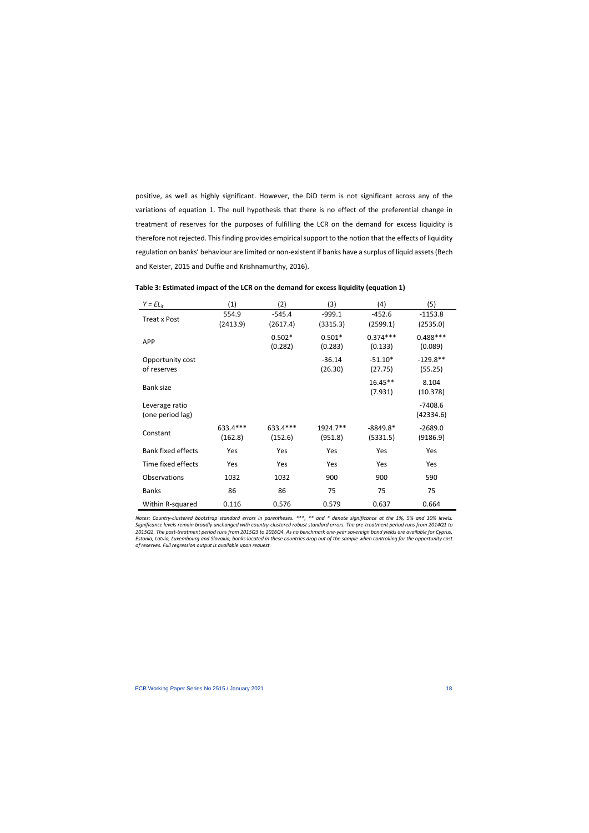positive, as well as highly significant. However, the DiD term is not significant across any of the variations of equation 1. The null hypothesis that there is no effect of the preferential change in treatment of reserves for the purposes of fulfilling the LCR on the demand for excess liquidity is therefore not rejected. This finding provides empirical support to the notion that the effects of liquidity regulation on banks' behaviour are limited or non-existent if banks have a surplus of liquid assets(Bech and Keister, 2015 and Duffie and Krishnamurthy, 2016).

| $Y = EL_{it}$                      | (1)                  | (2)                 | (3)                 | (4)                    | (5)                    |
|------------------------------------|----------------------|---------------------|---------------------|------------------------|------------------------|
| Treat x Post                       | 554.9                | $-545.4$            | $-999.1$            | $-452.6$               | $-1153.8$              |
|                                    | (2413.9)             | (2617.4)            | (3315.3)            | (2599.1)               | (2535.0)               |
| <b>APP</b>                         |                      | $0.502*$<br>(0.282) | $0.501*$<br>(0.283) | $0.374***$<br>(0.133)  | $0.488***$<br>(0.089)  |
| Opportunity cost<br>of reserves    |                      |                     | $-36.14$<br>(26.30) | $-51.10*$<br>(27.75)   | $-129.8**$<br>(55.25)  |
| <b>Bank size</b>                   |                      |                     |                     | $16.45**$<br>(7.931)   | 8.104<br>(10.378)      |
| Leverage ratio<br>(one period lag) |                      |                     |                     |                        | $-7408.6$<br>(42334.6) |
| Constant                           | 633.4 ***<br>(162.8) | 633.4***<br>(152.6) | 1924.7**<br>(951.8) | $-8849.8*$<br>(5331.5) | $-2689.0$<br>(9186.9)  |
| <b>Bank fixed effects</b>          | Yes                  | Yes                 | Yes                 | Yes                    | Yes                    |
| Time fixed effects                 | Yes                  | Yes                 | Yes                 | Yes                    | Yes                    |
| Observations                       | 1032                 | 1032                | 900                 | 900                    | 590                    |
| <b>Banks</b>                       | 86                   | 86                  | 75                  | 75                     | 75                     |
| Within R-squared                   | 0.116                | 0.576               | 0.579               | 0.637                  | 0.664                  |

# **Table 3: Estimated impact of the LCR on the demand for excess liquidity (equation 1)**

*Notes: Country-clustered bootstrap standard errors in parentheses. \*\*\*, \*\* and \* denote significance at the 1%, 5% and 10% levels. Significance levels remain broadly unchanged with country-clustered robust standard errors. The pre-treatment period runs from 2014Q1 to 2015Q2. The post-treatment period runs from 2015Q3 to 2016Q4. As no benchmark one-year sovereign bond yields are available for Cyprus, Estonia, Latvia, Luxembourg and Slovakia, banks located in these countries drop out of the sample when controlling for the opportunity cost of reserves. Full regression output is available upon request.*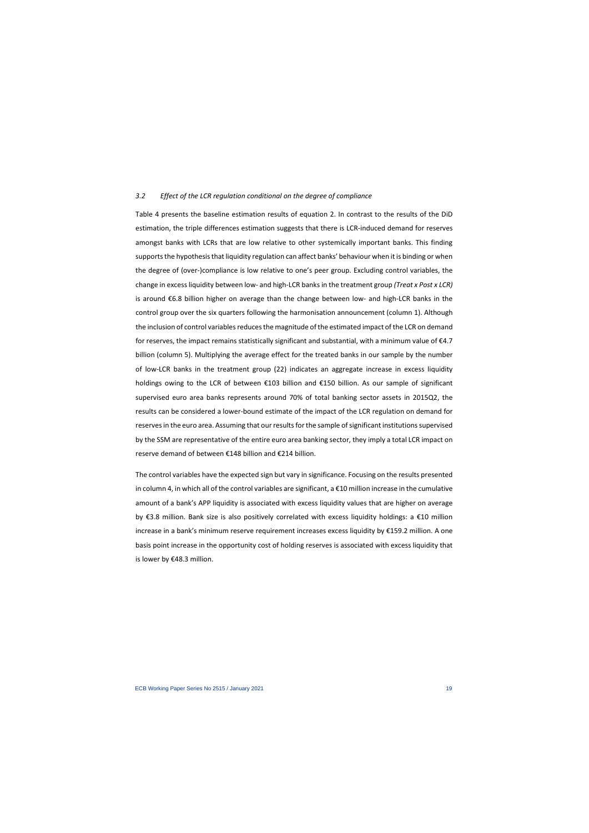#### *3.2 Effect of the LCR regulation conditional on the degree of compliance*

Table 4 presents the baseline estimation results of equation 2. In contrast to the results of the DiD estimation, the triple differences estimation suggests that there is LCR-induced demand for reserves amongst banks with LCRs that are low relative to other systemically important banks. This finding supports the hypothesis that liquidity regulation can affect banks' behaviour when it is binding or when the degree of (over-)compliance is low relative to one's peer group. Excluding control variables, the change in excess liquidity between low- and high-LCR banks in the treatment group *(Treat x Post x LCR)* is around €6.8 billion higher on average than the change between low- and high-LCR banks in the control group over the six quarters following the harmonisation announcement (column 1). Although the inclusion of control variables reduces the magnitude of the estimated impact of the LCR on demand for reserves, the impact remains statistically significant and substantial, with a minimum value of €4.7 billion (column 5). Multiplying the average effect for the treated banks in our sample by the number of low-LCR banks in the treatment group (22) indicates an aggregate increase in excess liquidity holdings owing to the LCR of between €103 billion and €150 billion. As our sample of significant supervised euro area banks represents around 70% of total banking sector assets in 2015Q2, the results can be considered a lower-bound estimate of the impact of the LCR regulation on demand for reserves in the euro area. Assuming that our results for the sample of significant institutions supervised by the SSM are representative of the entire euro area banking sector, they imply a total LCR impact on reserve demand of between €148 billion and €214 billion.

The control variables have the expected sign but vary in significance. Focusing on the results presented in column 4, in which all of the control variables are significant, a  $\epsilon$ 10 million increase in the cumulative amount of a bank's APP liquidity is associated with excess liquidity values that are higher on average by €3.8 million. Bank size is also positively correlated with excess liquidity holdings: a €10 million increase in a bank's minimum reserve requirement increases excess liquidity by €159.2 million. A one basis point increase in the opportunity cost of holding reserves is associated with excess liquidity that is lower by €48.3 million.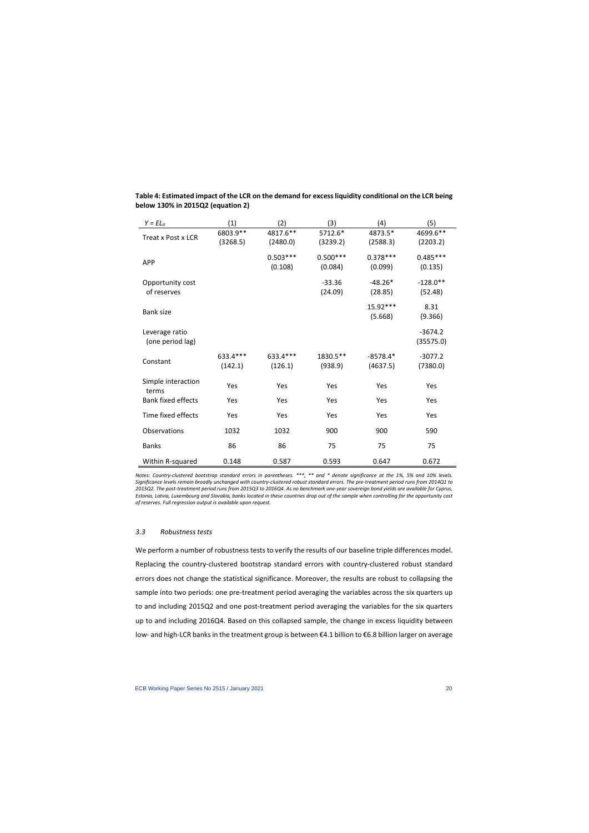| $Y = EL_{it}$             | (1)      | (2)        | (3)        | (4)        | (5)        |
|---------------------------|----------|------------|------------|------------|------------|
| Treat x Post x LCR        | 6803.9** | 4817.6**   | 5712.6*    | 4873.5*    | 4699.6**   |
|                           | (3268.5) | (2480.0)   | (3239.2)   | (2588.3)   | (2203.2)   |
| <b>APP</b>                |          | $0.503***$ | $0.500***$ | $0.378***$ | $0.485***$ |
|                           |          | (0.108)    | (0.084)    | (0.099)    | (0.135)    |
| Opportunity cost          |          |            | $-33.36$   | $-48.26*$  | $-128.0**$ |
| of reserves               |          |            | (24.09)    | (28.85)    | (52.48)    |
| <b>Bank size</b>          |          |            |            | 15.92***   | 8.31       |
|                           |          |            |            | (5.668)    | (9.366)    |
| Leverage ratio            |          |            |            |            | $-3674.2$  |
| (one period lag)          |          |            |            |            | (35575.0)  |
|                           | 633.4*** | 633.4 ***  | 1830.5**   | $-8578.4*$ | $-3077.2$  |
| Constant                  | (142.1)  | (126.1)    | (938.9)    | (4637.5)   | (7380.0)   |
| Simple interaction        |          |            |            |            |            |
| terms                     | Yes      | Yes        | Yes        | Yes        | Yes        |
| <b>Bank fixed effects</b> | Yes      | Yes        | Yes        | Yes        | Yes        |
| Time fixed effects        | Yes      | Yes        | Yes        | Yes        | Yes        |
| Observations              | 1032     | 1032       | 900        | 900        | 590        |
| <b>Banks</b>              | 86       | 86         | 75         | 75         | 75         |
| Within R-squared          | 0.148    | 0.587      | 0.593      | 0.647      | 0.672      |

# **Table 4: Estimated impact of the LCR on the demand for excess liquidity conditional on the LCR being below 130% in 2015Q2 (equation 2)**

*Notes: Country-clustered bootstrap standard errors in parentheses. \*\*\*, \*\* and \* denote significance at the 1%, 5% and 10% levels. Significance levels remain broadly unchanged with country-clustered robust standard errors. The pre-treatment period runs from 2014Q1 to 2015Q2. The post-treatment period runs from 2015Q3 to 2016Q4. As no benchmark one-year sovereign bond yields are available for Cyprus, Estonia, Latvia, Luxembourg and Slovakia, banks located in these countries drop out of the sample when controlling for the opportunity cost of reserves. Full regression output is available upon request.*

# *3.3 Robustness tests*

We perform a number of robustness tests to verify the results of our baseline triple differences model. Replacing the country-clustered bootstrap standard errors with country-clustered robust standard errors does not change the statistical significance. Moreover, the results are robust to collapsing the sample into two periods: one pre-treatment period averaging the variables across the six quarters up to and including 2015Q2 and one post-treatment period averaging the variables for the six quarters up to and including 2016Q4. Based on this collapsed sample, the change in excess liquidity between low- and high-LCR banks in the treatment group is between €4.1 billion to €6.8 billion larger on average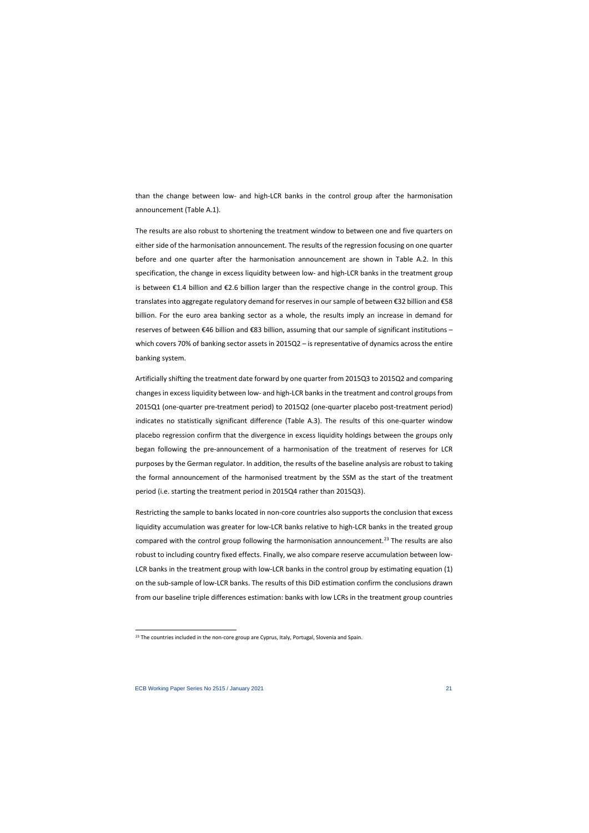than the change between low- and high-LCR banks in the control group after the harmonisation announcement (Table A.1).

The results are also robust to shortening the treatment window to between one and five quarters on either side of the harmonisation announcement. The results of the regression focusing on one quarter before and one quarter after the harmonisation announcement are shown in Table A.2. In this specification, the change in excess liquidity between low- and high-LCR banks in the treatment group is between €1.4 billion and €2.6 billion larger than the respective change in the control group. This translates into aggregate regulatory demand for reserves in our sample of between €32 billion and €58 billion. For the euro area banking sector as a whole, the results imply an increase in demand for reserves of between €46 billion and €83 billion, assuming that our sample of significant institutions – which covers 70% of banking sector assets in 2015Q2 – is representative of dynamics across the entire banking system.

Artificially shifting the treatment date forward by one quarter from 2015Q3 to 2015Q2 and comparing changes in excess liquidity between low- and high-LCR banks in the treatment and control groups from 2015Q1 (one-quarter pre-treatment period) to 2015Q2 (one-quarter placebo post-treatment period) indicates no statistically significant difference (Table A.3). The results of this one-quarter window placebo regression confirm that the divergence in excess liquidity holdings between the groups only began following the pre-announcement of a harmonisation of the treatment of reserves for LCR purposes by the German regulator. In addition, the results of the baseline analysis are robust to taking the formal announcement of the harmonised treatment by the SSM as the start of the treatment period (i.e. starting the treatment period in 2015Q4 rather than 2015Q3).

Restricting the sample to banks located in non-core countries also supports the conclusion that excess liquidity accumulation was greater for low-LCR banks relative to high-LCR banks in the treated group compared with the control group following the harmonisation announcement.<sup>[23](#page-21-0)</sup> The results are also robust to including country fixed effects. Finally, we also compare reserve accumulation between low-LCR banks in the treatment group with low-LCR banks in the control group by estimating equation (1) on the sub-sample of low-LCR banks. The results of this DiD estimation confirm the conclusions drawn from our baseline triple differences estimation: banks with low LCRs in the treatment group countries

<span id="page-21-0"></span><sup>&</sup>lt;sup>23</sup> The countries included in the non-core group are Cyprus, Italy, Portugal, Slovenia and Spain.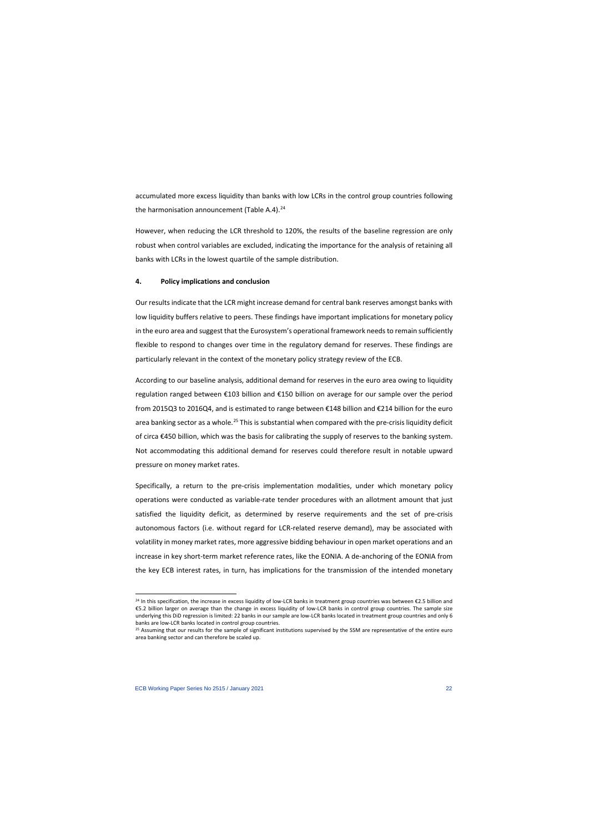accumulated more excess liquidity than banks with low LCRs in the control group countries following the harmonisation announcement (Table A.4). $^{24}$ 

However, when reducing the LCR threshold to 120%, the results of the baseline regression are only robust when control variables are excluded, indicating the importance for the analysis of retaining all banks with LCRs in the lowest quartile of the sample distribution.

# **4. Policy implications and conclusion**

Our results indicate that the LCR might increase demand for central bank reserves amongst banks with low liquidity buffers relative to peers. These findings have important implications for monetary policy in the euro area and suggest that the Eurosystem's operational framework needs to remain sufficiently flexible to respond to changes over time in the regulatory demand for reserves. These findings are particularly relevant in the context of the monetary policy strategy review of the ECB.

According to our baseline analysis, additional demand for reserves in the euro area owing to liquidity regulation ranged between €103 billion and €150 billion on average for our sample over the period from 2015Q3 to 2016Q4, and is estimated to range between €148 billion and €214 billion for the euro area banking sector as a whole.<sup>[25](#page-22-1)</sup> This is substantial when compared with the pre-crisis liquidity deficit of circa €450 billion, which was the basis for calibrating the supply of reserves to the banking system. Not accommodating this additional demand for reserves could therefore result in notable upward pressure on money market rates.

Specifically, a return to the pre-crisis implementation modalities, under which monetary policy operations were conducted as variable-rate tender procedures with an allotment amount that just satisfied the liquidity deficit, as determined by reserve requirements and the set of pre-crisis autonomous factors (i.e. without regard for LCR-related reserve demand), may be associated with volatility in money market rates, more aggressive bidding behaviour in open market operations and an increase in key short-term market reference rates, like the EONIA. A de-anchoring of the EONIA from the key ECB interest rates, in turn, has implications for the transmission of the intended monetary

 $^{24}$  In this specification, the increase in excess liquidity of low-LCR banks in treatment group countries was between €2.5 billion and €5.2 billion larger on average than the change in excess liquidity of low-LCR banks in control group countries. The sample size underlying this DiD regression is limited: 22 banks in our sample are low-LCR banks located in treatment group countries and only 6<br>banks are low-LCR banks located in control group countries.

<span id="page-22-1"></span><span id="page-22-0"></span><sup>&</sup>lt;sup>25</sup> Assuming that our results for the sample of significant institutions supervised by the SSM are representative of the entire euro area banking sector and can therefore be scaled up.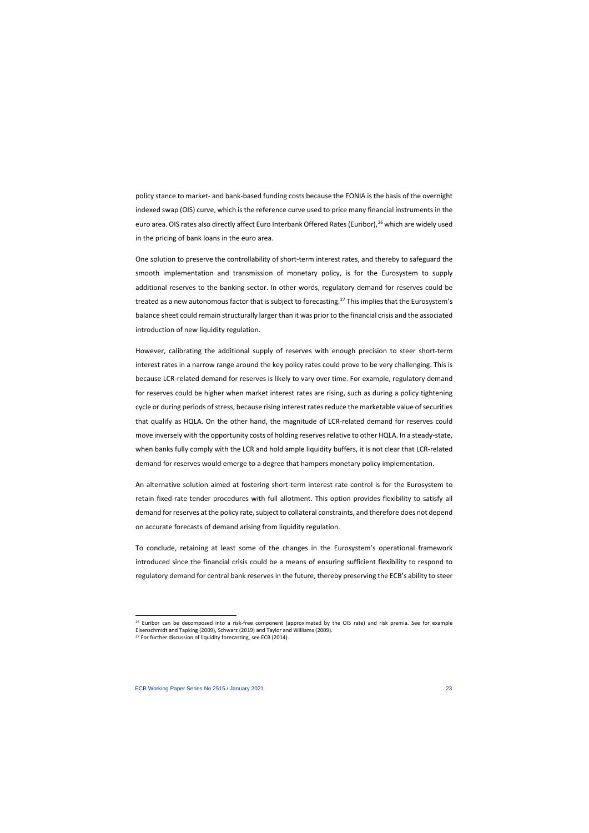policy stance to market- and bank-based funding costs because the EONIA is the basis of the overnight indexed swap (OIS) curve, which is the reference curve used to price many financial instruments in the euro area. OIS rates also directly affect Euro Interbank Offered Rates (Euribor),<sup>[26](#page-23-0)</sup> which are widely used in the pricing of bank loans in the euro area.

One solution to preserve the controllability of short-term interest rates, and thereby to safeguard the smooth implementation and transmission of monetary policy, is for the Eurosystem to supply additional reserves to the banking sector. In other words, regulatory demand for reserves could be treated as a new autonomous factor that is subject to forecasting.<sup>[27](#page-23-1)</sup> This implies that the Eurosystem's balance sheet could remain structurally larger than it was priorto the financial crisis and the associated introduction of new liquidity regulation.

However, calibrating the additional supply of reserves with enough precision to steer short-term interest rates in a narrow range around the key policy rates could prove to be very challenging. This is because LCR-related demand for reserves is likely to vary over time. For example, regulatory demand for reserves could be higher when market interest rates are rising, such as during a policy tightening cycle or during periods of stress, because rising interest rates reduce the marketable value of securities that qualify as HQLA. On the other hand, the magnitude of LCR-related demand for reserves could move inversely with the opportunity costs of holding reserves relative to other HQLA. In a steady-state, when banks fully comply with the LCR and hold ample liquidity buffers, it is not clear that LCR-related demand for reserves would emerge to a degree that hampers monetary policy implementation.

An alternative solution aimed at fostering short-term interest rate control is for the Eurosystem to retain fixed-rate tender procedures with full allotment. This option provides flexibility to satisfy all demand for reserves at the policy rate, subject to collateral constraints, and therefore does not depend on accurate forecasts of demand arising from liquidity regulation.

To conclude, retaining at least some of the changes in the Eurosystem's operational framework introduced since the financial crisis could be a means of ensuring sufficient flexibility to respond to regulatory demand for central bank reserves in the future, thereby preserving the ECB's ability to steer

 $26$  Euribor can be decomposed into a risk-free component (approximated by the OIS rate) and risk premia. See for example Eisenschmidt and Tapking (2009), Schwarz (2019) and Taylor and Williams (2009).

<span id="page-23-1"></span><span id="page-23-0"></span><sup>&</sup>lt;sup>27</sup> For further discussion of liquidity forecasting, see ECB (2014).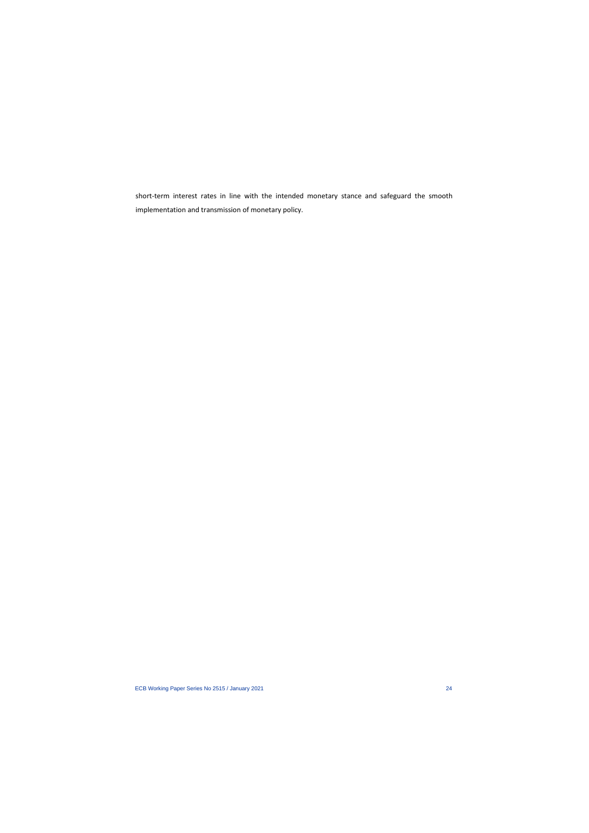short-term interest rates in line with the intended monetary stance and safeguard the smooth implementation and transmission of monetary policy.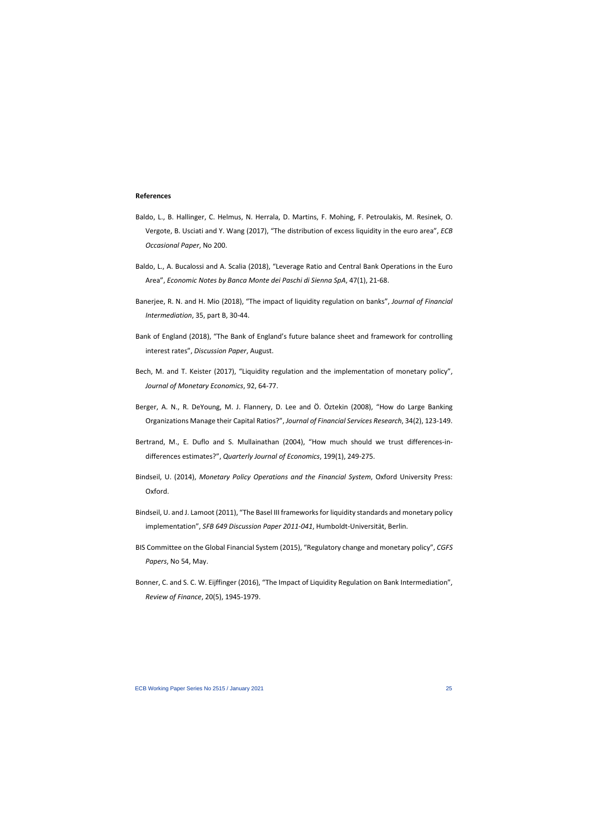#### **References**

- Baldo, L., B. Hallinger, C. Helmus, N. Herrala, D. Martins, F. Mohing, F. Petroulakis, M. Resinek, O. Vergote, B. Usciati and Y. Wang (2017), "The distribution of excess liquidity in the euro area", *ECB Occasional Paper*, No 200.
- Baldo, L., A. Bucalossi and A. Scalia (2018), "Leverage Ratio and Central Bank Operations in the Euro Area", *Economic Notes by Banca Monte dei Paschi di Sienna SpA*, 47(1), 21-68.
- Banerjee, R. N. and H. Mio (2018), "The impact of liquidity regulation on banks", *Journal of Financial Intermediation*, 35, part B, 30-44.
- Bank of England (2018), "The Bank of England's future balance sheet and framework for controlling interest rates", *Discussion Paper*, August.
- Bech, M. and T. Keister (2017), "Liquidity regulation and the implementation of monetary policy", *Journal of Monetary Economics*, 92, 64-77.
- Berger, A. N., R. DeYoung, M. J. Flannery, D. Lee and Ö. Öztekin (2008), "How do Large Banking Organizations Manage their Capital Ratios?", *Journal of Financial Services Research*, 34(2), 123-149.
- Bertrand, M., E. Duflo and S. Mullainathan (2004), "How much should we trust differences-indifferences estimates?", *Quarterly Journal of Economics*, 199(1), 249-275.
- Bindseil, U. (2014), *Monetary Policy Operations and the Financial System*, Oxford University Press: Oxford.
- Bindseil, U. and J. Lamoot (2011), "The Basel III frameworks for liquidity standards and monetary policy implementation", *SFB 649 Discussion Paper 2011-041*, Humboldt-Universität, Berlin.
- BIS Committee on the Global Financial System (2015), "Regulatory change and monetary policy", *CGFS Papers*, No 54, May.
- Bonner, C. and S. C. W. Eijffinger (2016), "The Impact of Liquidity Regulation on Bank Intermediation", *Review of Finance*, 20(5), 1945-1979.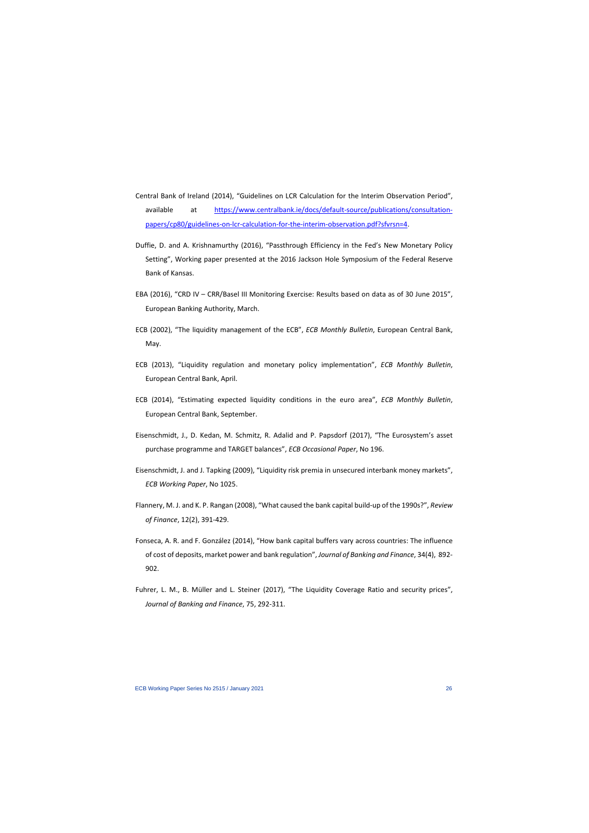- Central Bank of Ireland (2014), "Guidelines on LCR Calculation for the Interim Observation Period", available at [https://www.centralbank.ie/docs/default-source/publications/consultation](https://www.centralbank.ie/docs/default-source/publications/consultation-papers/cp80/guidelines-on-lcr-calculation-for-the-interim-observation.pdf?sfvrsn=4)[papers/cp80/guidelines-on-lcr-calculation-for-the-interim-observation.pdf?sfvrsn=4.](https://www.centralbank.ie/docs/default-source/publications/consultation-papers/cp80/guidelines-on-lcr-calculation-for-the-interim-observation.pdf?sfvrsn=4)
- Duffie, D. and A. Krishnamurthy (2016), "Passthrough Efficiency in the Fed's New Monetary Policy Setting", Working paper presented at the 2016 Jackson Hole Symposium of the Federal Reserve Bank of Kansas.
- EBA (2016), "CRD IV CRR/Basel III Monitoring Exercise: Results based on data as of 30 June 2015", European Banking Authority, March.
- ECB (2002), "The liquidity management of the ECB", *ECB Monthly Bulletin*, European Central Bank, May.
- ECB (2013), "Liquidity regulation and monetary policy implementation", *ECB Monthly Bulletin*, European Central Bank, April.
- ECB (2014), "Estimating expected liquidity conditions in the euro area", *ECB Monthly Bulletin*, European Central Bank, September.
- Eisenschmidt, J., D. Kedan, M. Schmitz, R. Adalid and P. Papsdorf (2017), "The Eurosystem's asset purchase programme and TARGET balances", *ECB Occasional Paper*, No 196.
- Eisenschmidt, J. and J. Tapking (2009), "Liquidity risk premia in unsecured interbank money markets", *ECB Working Paper*, No 1025.
- Flannery, M. J. and K. P. Rangan (2008), "What caused the bank capital build-up of the 1990s?", *Review of Finance*, 12(2), 391-429.
- Fonseca, A. R. and F. González (2014), "How bank capital buffers vary across countries: The influence of cost of deposits, market power and bank regulation", *Journal of Banking and Finance*, 34(4), 892- 902.
- Fuhrer, L. M., B. Müller and L. Steiner (2017), "The Liquidity Coverage Ratio and security prices", *Journal of Banking and Finance*, 75, 292-311.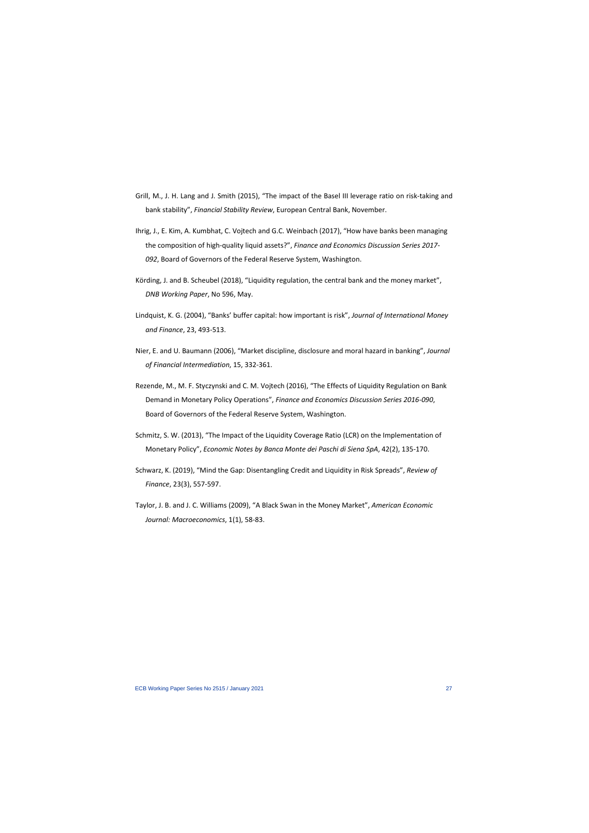- Grill, M., J. H. Lang and J. Smith (2015), "The impact of the Basel III leverage ratio on risk-taking and bank stability", *Financial Stability Review*, European Central Bank, November.
- Ihrig, J., E. Kim, A. Kumbhat, C. Vojtech and G.C. Weinbach (2017), "How have banks been managing the composition of high-quality liquid assets?", *Finance and Economics Discussion Series 2017- 092*, Board of Governors of the Federal Reserve System, Washington.
- Körding, J. and B. Scheubel (2018), "Liquidity regulation, the central bank and the money market", *DNB Working Paper*, No 596, May.
- Lindquist, K. G. (2004), "Banks' buffer capital: how important is risk", *Journal of International Money and Finance*, 23, 493-513.
- Nier, E. and U. Baumann (2006), "Market discipline, disclosure and moral hazard in banking", *Journal of Financial Intermediation*, 15, 332-361.
- Rezende, M., M. F. Styczynski and C. M. Vojtech (2016), "The Effects of Liquidity Regulation on Bank Demand in Monetary Policy Operations", *Finance and Economics Discussion Series 2016-090*, Board of Governors of the Federal Reserve System, Washington.
- Schmitz, S. W. (2013), "The Impact of the Liquidity Coverage Ratio (LCR) on the Implementation of Monetary Policy", *Economic Notes by Banca Monte dei Paschi di Siena SpA*, 42(2), 135-170.
- Schwarz, K. (2019), "Mind the Gap: Disentangling Credit and Liquidity in Risk Spreads", *Review of Finance*, 23(3), 557-597.
- Taylor, J. B. and J. C. Williams (2009), "A Black Swan in the Money Market", *American Economic Journal: Macroeconomics*, 1(1), 58-83.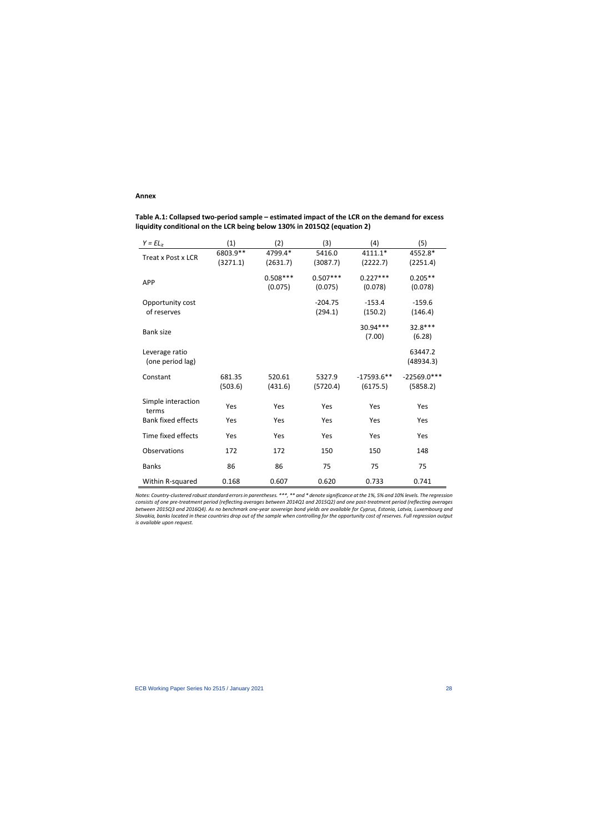# **Annex**

**Table A.1: Collapsed two-period sample – estimated impact of the LCR on the demand for excess liquidity conditional on the LCR being below 130% in 2015Q2 (equation 2)** 

| $Y = EL_{it}$                      | (1)                  | (2)                   | (3)                   | (4)                       | (5)                       |
|------------------------------------|----------------------|-----------------------|-----------------------|---------------------------|---------------------------|
| Treat x Post x LCR                 | 6803.9**<br>(3271.1) | 4799.4*<br>(2631.7)   | 5416.0<br>(3087.7)    | $4111.1*$<br>(2222.7)     | 4552.8*<br>(2251.4)       |
| <b>APP</b>                         |                      | $0.508***$<br>(0.075) | $0.507***$<br>(0.075) | $0.227***$<br>(0.078)     | $0.205**$<br>(0.078)      |
| Opportunity cost<br>of reserves    |                      |                       | $-204.75$<br>(294.1)  | $-153.4$<br>(150.2)       | $-159.6$<br>(146.4)       |
| <b>Bank size</b>                   |                      |                       |                       | 30.94***<br>(7.00)        | 32.8 ***<br>(6.28)        |
| Leverage ratio<br>(one period lag) |                      |                       |                       |                           | 63447.2<br>(48934.3)      |
| Constant                           | 681.35<br>(503.6)    | 520.61<br>(431.6)     | 5327.9<br>(5720.4)    | $-17593.6***$<br>(6175.5) | $-22569.0***$<br>(5858.2) |
| Simple interaction<br>terms        | Yes                  | Yes                   | Yes                   | Yes                       | Yes                       |
| <b>Bank fixed effects</b>          | Yes                  | Yes                   | Yes                   | Yes                       | Yes                       |
| Time fixed effects                 | Yes                  | Yes                   | Yes                   | Yes                       | Yes                       |
| Observations                       | 172                  | 172                   | 150                   | 150                       | 148                       |
| <b>Banks</b>                       | 86                   | 86                    | 75                    | 75                        | 75                        |
| Within R-squared                   | 0.168                | 0.607                 | 0.620                 | 0.733                     | 0.741                     |

*Notes: Country-clustered robust standard errors in parentheses. \*\*\*, \*\* and \* denote significance at the 1%, 5% and 10% levels. The regression consists of one pre-treatment period (reflecting averages between 2014Q1 and 2015Q2) and one post-treatment period (reflecting averages between 2015Q3 and 2016Q4). As no benchmark one-year sovereign bond yields are available for Cyprus, Estonia, Latvia, Luxembourg and Slovakia, banks located in these countries drop out of the sample when controlling for the opportunity cost of reserves. Full regression output is available upon request.*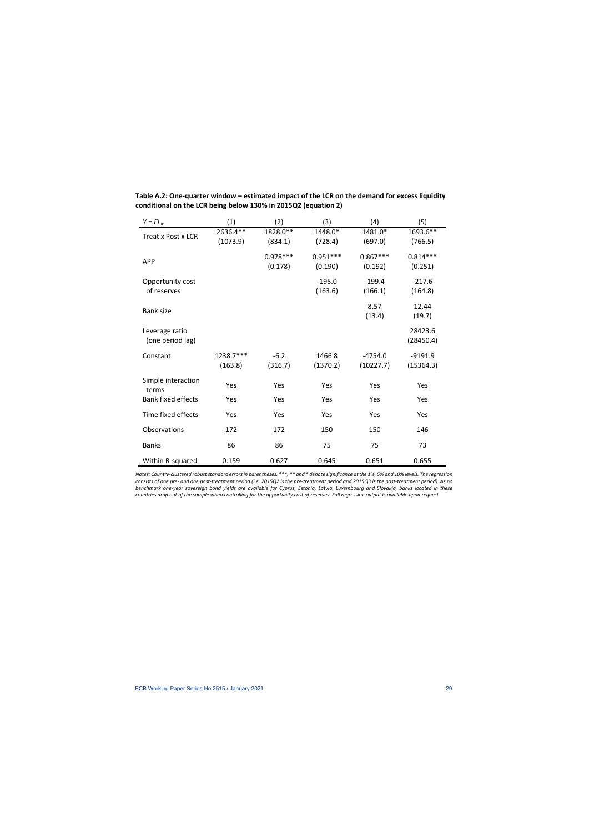| $Y = EL_{it}$                      | (1)                  | (2)                   | (3)                   | (4)                    | (5)                    |
|------------------------------------|----------------------|-----------------------|-----------------------|------------------------|------------------------|
| Treat x Post x LCR                 | 2636.4**<br>(1073.9) | 1828.0**<br>(834.1)   | 1448.0*<br>(728.4)    | 1481.0*<br>(697.0)     | 1693.6**<br>(766.5)    |
| <b>APP</b>                         |                      | $0.978***$<br>(0.178) | $0.951***$<br>(0.190) | $0.867***$<br>(0.192)  | $0.814***$<br>(0.251)  |
| Opportunity cost<br>of reserves    |                      |                       | $-195.0$<br>(163.6)   | $-199.4$<br>(166.1)    | $-217.6$<br>(164.8)    |
| <b>Bank size</b>                   |                      |                       |                       | 8.57<br>(13.4)         | 12.44<br>(19.7)        |
| Leverage ratio<br>(one period lag) |                      |                       |                       |                        | 28423.6<br>(28450.4)   |
| Constant                           | 1238.7***<br>(163.8) | $-6.2$<br>(316.7)     | 1466.8<br>(1370.2)    | $-4754.0$<br>(10227.7) | $-9191.9$<br>(15364.3) |
| Simple interaction<br>terms        | Yes                  | Yes                   | Yes                   | Yes                    | Yes                    |
| <b>Bank fixed effects</b>          | Yes                  | Yes                   | Yes                   | Yes                    | Yes                    |
| Time fixed effects                 | Yes                  | Yes                   | Yes                   | Yes                    | Yes                    |
| Observations                       | 172                  | 172                   | 150                   | 150                    | 146                    |
| <b>Banks</b>                       | 86                   | 86                    | 75                    | 75                     | 73                     |
| Within R-squared                   | 0.159                | 0.627                 | 0.645                 | 0.651                  | 0.655                  |

**Table A.2: One-quarter window – estimated impact of the LCR on the demand for excess liquidity conditional on the LCR being below 130% in 2015Q2 (equation 2)**

*Notes: Country-clustered robust standard errors in parentheses.* \*\*\*, \*\* and \* denote significance at the 1%, 5% and 10% levels. The regression *consists of one pre- and one post-treatment period (i.e. 2015Q2 is the pre-treatment period and 2015Q3 is the post-treatment period). As no benchmark one-year sovereign bond yields are available for Cyprus, Estonia, Latvia, Luxembourg and Slovakia, banks located in these countries drop out of the sample when controlling for the opportunity cost of reserves. Full regression output is available upon request.*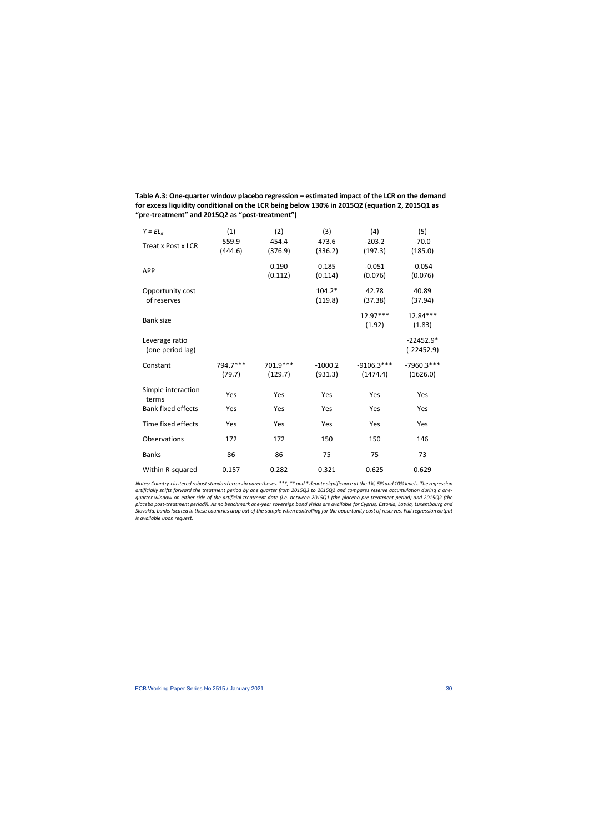| $Y = EL_{it}$                      | (1)                | (2)                  | (3)                  | (4)                      | (5)                         |
|------------------------------------|--------------------|----------------------|----------------------|--------------------------|-----------------------------|
| Treat x Post x LCR                 | 559.9<br>(444.6)   | 454.4<br>(376.9)     | 473.6<br>(336.2)     | $-203.2$<br>(197.3)      | $-70.0$<br>(185.0)          |
| <b>APP</b>                         |                    | 0.190<br>(0.112)     | 0.185<br>(0.114)     | $-0.051$<br>(0.076)      | $-0.054$<br>(0.076)         |
| Opportunity cost<br>of reserves    |                    |                      | $104.2*$<br>(119.8)  | 42.78<br>(37.38)         | 40.89<br>(37.94)            |
| <b>Bank size</b>                   |                    |                      |                      | $12.97***$<br>(1.92)     | 12.84***<br>(1.83)          |
| Leverage ratio<br>(one period lag) |                    |                      |                      |                          | $-22452.9*$<br>$(-22452.9)$ |
| Constant                           | 794.7***<br>(79.7) | 701.9 ***<br>(129.7) | $-1000.2$<br>(931.3) | $-9106.3***$<br>(1474.4) | $-7960.3***$<br>(1626.0)    |
| Simple interaction<br>terms        | Yes                | Yes                  | Yes                  | Yes                      | Yes                         |
| <b>Bank fixed effects</b>          | Yes                | Yes                  | Yes                  | Yes                      | Yes                         |
| Time fixed effects                 | Yes                | Yes                  | Yes                  | Yes                      | Yes                         |
| Observations                       | 172                | 172                  | 150                  | 150                      | 146                         |
| <b>Banks</b>                       | 86                 | 86                   | 75                   | 75                       | 73                          |
| Within R-squared                   | 0.157              | 0.282                | 0.321                | 0.625                    | 0.629                       |

**Table A.3: One-quarter window placebo regression – estimated impact of the LCR on the demand for excess liquidity conditional on the LCR being below 130% in 2015Q2 (equation 2, 2015Q1 as "pre-treatment" and 2015Q2 as "post-treatment")** 

*Notes: Country-clustered robust standard errors in parentheses.* \*\*\*, \*\* and \* denote significance at the 1%, 5% and 10% levels. The regression *artificially shifts forward the treatment period by one quarter from 2015Q3 to 2015Q2 and compares reserve accumulation during a onequarter window on either side of the artificial treatment date (i.e. between 2015Q1 (the placebo pre-treatment period) and 2015Q2 (the placebo post-treatment period)). As no benchmark one-year sovereign bond yields are available for Cyprus, Estonia, Latvia, Luxembourg and Slovakia, banks located in these countries drop out of the sample when controlling for the opportunity cost of reserves. Full regression output is available upon request.*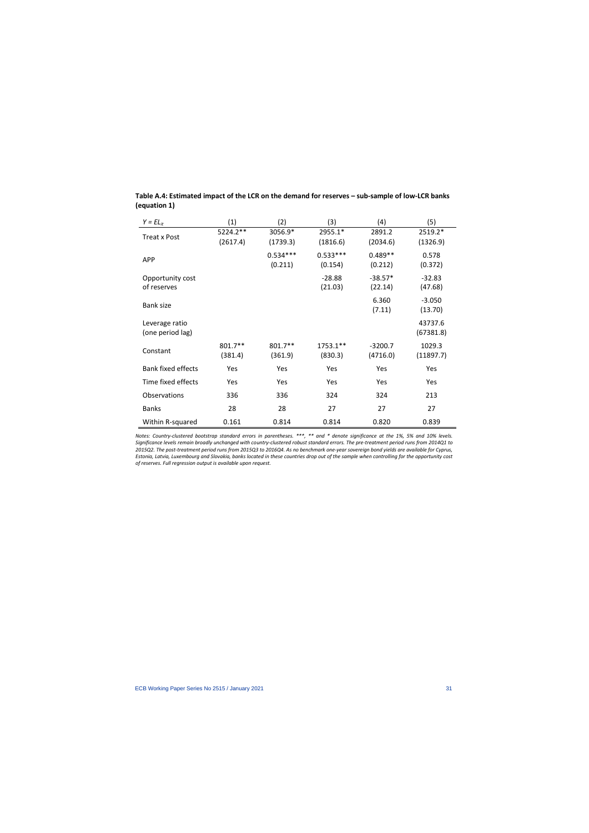| $Y = EL_{it}$                      | (1)                  | (2)                   | (3)                   | (4)                   | (5)                  |
|------------------------------------|----------------------|-----------------------|-----------------------|-----------------------|----------------------|
| <b>Treat x Post</b>                | 5224.2**<br>(2617.4) | 3056.9*<br>(1739.3)   | 2955.1*<br>(1816.6)   | 2891.2<br>(2034.6)    | 2519.2*<br>(1326.9)  |
| <b>APP</b>                         |                      | $0.534***$<br>(0.211) | $0.533***$<br>(0.154) | $0.489**$<br>(0.212)  | 0.578<br>(0.372)     |
| Opportunity cost<br>of reserves    |                      |                       | $-28.88$<br>(21.03)   | $-38.57*$<br>(22.14)  | $-32.83$<br>(47.68)  |
| <b>Bank size</b>                   |                      |                       |                       | 6.360<br>(7.11)       | $-3.050$<br>(13.70)  |
| Leverage ratio<br>(one period lag) |                      |                       |                       |                       | 43737.6<br>(67381.8) |
| Constant                           | 801.7**<br>(381.4)   | 801.7**<br>(361.9)    | 1753.1**<br>(830.3)   | $-3200.7$<br>(4716.0) | 1029.3<br>(11897.7)  |
| <b>Bank fixed effects</b>          | Yes                  | Yes                   | Yes                   | Yes                   | Yes                  |
| Time fixed effects                 | Yes                  | Yes                   | <b>Yes</b>            | <b>Yes</b>            | Yes                  |
| <b>Observations</b>                | 336                  | 336                   | 324                   | 324                   | 213                  |
| <b>Banks</b>                       | 28                   | 28                    | 27                    | 27                    | 27                   |
| Within R-squared                   | 0.161                | 0.814                 | 0.814                 | 0.820                 | 0.839                |

# **Table A.4: Estimated impact of the LCR on the demand for reserves – sub-sample of low-LCR banks (equation 1)**

*Notes: Country-clustered bootstrap standard errors in parentheses. \*\*\*, \*\* and \* denote significance at the 1%, 5% and 10% levels. Significance levels remain broadly unchanged with country-clustered robust standard errors. The pre-treatment period runs from 2014Q1 to 2015Q2. The post-treatment period runs from 2015Q3 to 2016Q4. As no benchmark one-year sovereign bond yields are available for Cyprus, Estonia, Latvia, Luxembourg and Slovakia, banks located in these countries drop out of the sample when controlling for the opportunity cost of reserves. Full regression output is available upon request.*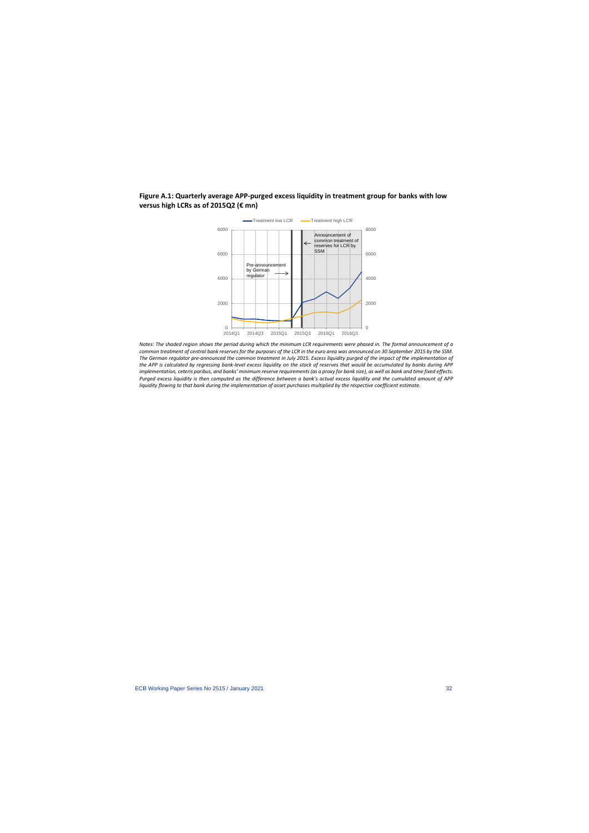# **Figure A.1: Quarterly average APP-purged excess liquidity in treatment group for banks with low versus high LCRs as of 2015Q2 (€ mn)**



*Notes: The shaded region shows the period during which the minimum LCR requirements were phased in. The formal announcement of a common treatment of central bank reserves for the purposes of the LCR in the euro area was announced on 30 September 2015 by the SSM. The German regulator pre-announced the common treatment in July 2015. Excess liquidity purged of the impact of the implementation of the APP is calculated by regressing bank-level excess liquidity on the stock of reserves that would be accumulated by banks during APP implementation, ceteris paribus, and banks' minimum reserve requirements (as a proxy for bank size), as well as bank and time fixed effects. Purged excess liquidity is then computed as the difference between a bank's actual excess liquidity and the cumulated amount of APP liquidity flowing to that bank during the implementation of asset purchases multiplied by the respective coefficient estimate.*